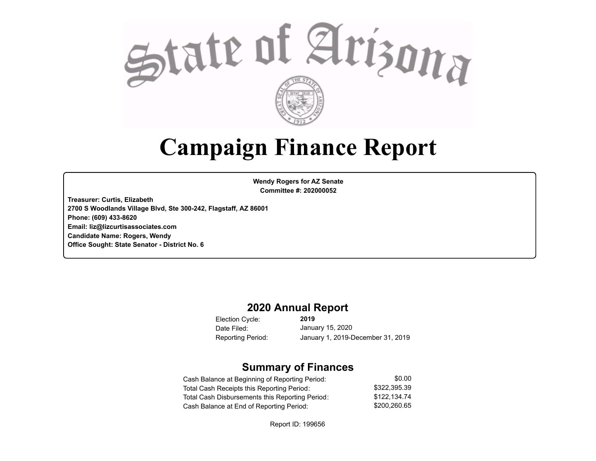

# **Campaign Finance Report**

**Wendy Rogers for AZ Senate Committee #: 202000052**

**Treasurer: Curtis, Elizabeth 2700 S Woodlands Village Blvd, Ste 300-242, Flagstaff, AZ 86001 Phone: (609) 433-8620 Email: liz@lizcurtisassociates.com Candidate Name: Rogers, Wendy Office Sought: State Senator - District No. 6**

## **2020 Annual Report**

Election Cycle: Date Filed:

**2019** January 15, 2020 Reporting Period: January 1, 2019-December 31, 2019

## **Summary of Finances**

| Cash Balance at Beginning of Reporting Period:  | \$0.00       |
|-------------------------------------------------|--------------|
| Total Cash Receipts this Reporting Period:      | \$322.395.39 |
| Total Cash Disbursements this Reporting Period: | \$122.134.74 |
| Cash Balance at End of Reporting Period:        | \$200.260.65 |

Report ID: 199656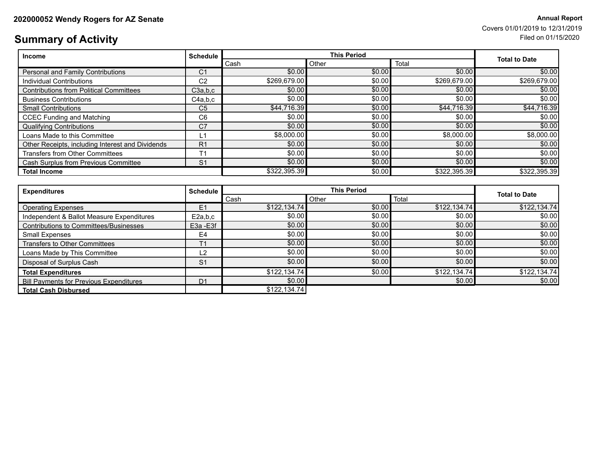# **Summary of Activity** Filed on 01/15/2020

| <b>Income</b>                                    | <b>Schedule</b> |              | <b>Total to Date</b> |              |              |
|--------------------------------------------------|-----------------|--------------|----------------------|--------------|--------------|
|                                                  |                 | Cash         | Other                | Total        |              |
| Personal and Family Contributions                | C1              | \$0.00       | \$0.00               | \$0.00       | \$0.00       |
| Individual Contributions                         | C <sub>2</sub>  | \$269,679.00 | \$0.00               | \$269,679.00 | \$269,679.00 |
| <b>Contributions from Political Committees</b>   | C3a,b,c         | \$0.00       | \$0.00               | \$0.00       | \$0.00       |
| <b>Business Contributions</b>                    | C4a.b.c         | \$0.00       | \$0.00               | \$0.00       | \$0.00       |
| <b>Small Contributions</b>                       | C <sub>5</sub>  | \$44.716.39  | \$0.00               | \$44,716.39  | \$44,716.39  |
| <b>CCEC Funding and Matching</b>                 | C <sub>6</sub>  | \$0.00       | \$0.00               | \$0.00       | \$0.00       |
| <b>Qualifying Contributions</b>                  | C <sub>7</sub>  | \$0.00       | \$0.00               | \$0.00       | \$0.00       |
| Loans Made to this Committee                     | L1              | \$8,000,00   | \$0.00               | \$8,000.00   | \$8,000.00   |
| Other Receipts, including Interest and Dividends | R <sub>1</sub>  | \$0.00       | \$0.00               | \$0.00       | \$0.00       |
| <b>Transfers from Other Committees</b>           | Τ1              | \$0.00       | \$0.00               | \$0.00       | \$0.00       |
| Cash Surplus from Previous Committee             | S <sub>1</sub>  | \$0.00       | \$0.00               | \$0.00       | \$0.00       |
| <b>Total Income</b>                              |                 | \$322,395.39 | \$0.00               | \$322,395.39 | \$322,395.39 |

| <b>Expenditures</b>                            | <b>Schedule</b> |              | <b>This Period</b> |              |                      |  |  |
|------------------------------------------------|-----------------|--------------|--------------------|--------------|----------------------|--|--|
|                                                |                 | Cash         | Other              | Total        | <b>Total to Date</b> |  |  |
| <b>Operating Expenses</b>                      | E1              | \$122,134,74 | \$0.00             | \$122,134.74 | \$122, 134.74        |  |  |
| Independent & Ballot Measure Expenditures      | E2a,b,c         | \$0.00       | \$0.00             | \$0.00       | \$0.00               |  |  |
| Contributions to Committees/Businesses         | E3a -E3f        | \$0.00       | \$0.00             | \$0.00       | \$0.00               |  |  |
| Small Expenses                                 | E <sub>4</sub>  | \$0.00       | \$0.00             | \$0.00       | \$0.00               |  |  |
| Transfers to Other Committees                  | T <sub>1</sub>  | \$0.00       | \$0.00             | \$0.00       | \$0.00               |  |  |
| Loans Made by This Committee                   | L2              | \$0.00       | \$0.00             | \$0.00       | \$0.00               |  |  |
| Disposal of Surplus Cash                       | S <sub>1</sub>  | \$0.00       | \$0.00             | \$0.00       | \$0.00               |  |  |
| <b>Total Expenditures</b>                      |                 | \$122,134.74 | \$0.00             | \$122,134.74 | \$122,134.74         |  |  |
| <b>Bill Payments for Previous Expenditures</b> | D <sub>1</sub>  | \$0.00       |                    | \$0.00       | \$0.00               |  |  |
| <b>Total Cash Disbursed</b>                    |                 | \$122,134.74 |                    |              |                      |  |  |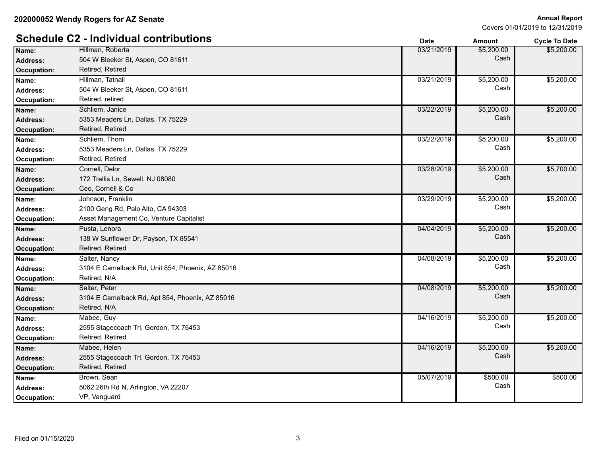#### **Schedule C2 - Individual contributions Date Date** *Date* **<b>Amount Cycle To Date** Hillman, Roberta **Address:** Cash 504 W Bleeker St, Aspen, CO 81611 **Cash 7 (1996)** 3 (2008) 2 (2008) 2 (2008) 2 (2008) 2 (2008) **Name:** 03/21/2019 \$5,200.00 \$5,200.00 **Occupation:** Retired, Retired Hillman, Tatnall **Address:** Cash 504 W Bleeker St, Aspen, CO 81611 **Cash 60 September 2016** 2017 12:30 Address: **Name:** 03/21/2019 \$5,200.00 \$5,200.00 **Occupation:** Retired, retired Schliem, Janice 5353 Meaders Ln, Dallas, TX 75229 **Address:** Cash **Name:** Chilem, Janice **1996. In the set of the set of the set of the set of the set of the set of the set of the set of the set of the set of the set of the set of the set of the set of the set of the set of the set of th** \$5,200.00 **Occupation:** Retired, Retired Schliem, Thom 5353 Meaders Ln, Dallas, TX 75229 **Address:** Cash **Name:** 03/22/2019 \$5,200.00 \$5,200.00 **Occupation:** Retired, Retired Cornell, Delor 172 Trellis Ln, Sewell, NJ 08080 **Address:** Cash **Name:** 03/28/2019 \$5,200.00 \$5,700.00 **Occupation:** Ceo, Cornell & Co Johnson, Franklin 2100 Geng Rd, Palo Alto, CA 94303 **Address:** Cash **Name:** 03/29/2019 \$5,200.00 \$5,200.00 **Occupation:** Asset Management Co, Venture Capitalist Pusta, Lenora 138 W Sunflower Dr, Payson, TX 85541 **Address:** Cash **Name:** 04/04/2019 \$5,200.00 \$5,200.00 **Occupation:** Retired, Retired Salter, Nancy 3104 E Camelback Rd, Unit 854, Phoenix, AZ 85016 **Address:** Cash **Name:** 04/08/2019 \$5,200.00 \$5,200.00 **Occupation:** Retired, N/A Salter, Peter 3104 E Camelback Rd, Apt 854, Phoenix, AZ 85016 **Address:** Cash **Name:** 04/08/2019 \$5,200.00 \$5,200.00 **Occupation:** Retired, N/A Mabee, Guy 2555 Stagecoach Trl, Gordon, TX 76453 **Address:** Cash **Name:** Mabee, Guy **Mabee, Guy South American Control** Control of the Maria Control of the Maria Control of the S5,200.00 state of the S5,200.00 state of the S5,200.00 state of the S5,200.00 state of the S5,200.00 state of \$5,200.00 **Occupation:** Retired, Retired Mabee, Helen 2555 Stagecoach Trl, Gordon, TX 76453 **Address:** Cash **Name:** Mabee, Helen \$5,200.00 **\$5,200.00 \$5,200.00 \$5,200.00 \$5,200.00 \$** \$5,200.00 \$ \$5,200.00 **Occupation:** Retired, Retired Brown, Sean 5062 26th Rd N, Arlington, VA 22207 **Address:** Cash **Name:** 05/07/2019 \$500.00 \$500.00

**Occupation:** VP, Vanguard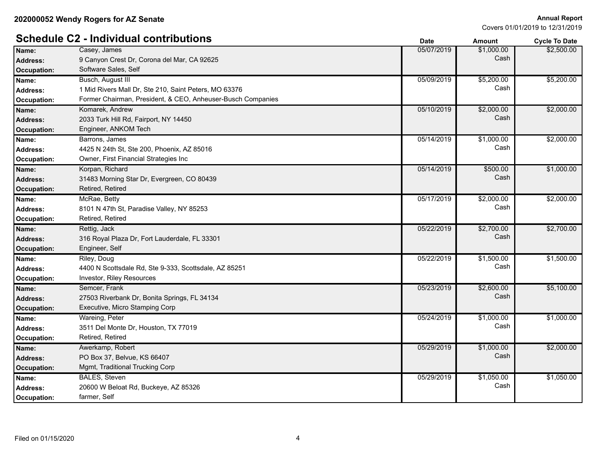# **Schedule C2 - Individual contributions Date Date Date Amount Cycle To Date**

| Name:              | Casey, James                                                | 05/07/2019 | \$1,000.00 | \$2,500.00 |
|--------------------|-------------------------------------------------------------|------------|------------|------------|
| Address:           | 9 Canyon Crest Dr, Corona del Mar, CA 92625                 |            | Cash       |            |
| Occupation:        | Software Sales, Self                                        |            |            |            |
| Name:              | Busch, August III                                           | 05/09/2019 | \$5,200.00 | \$5,200.00 |
| <b>Address:</b>    | 1 Mid Rivers Mall Dr, Ste 210, Saint Peters, MO 63376       |            | Cash       |            |
| Occupation:        | Former Chairman, President, & CEO, Anheuser-Busch Companies |            |            |            |
| Name:              | Komarek, Andrew                                             | 05/10/2019 | \$2,000.00 | \$2,000.00 |
| <b>Address:</b>    | 2033 Turk Hill Rd, Fairport, NY 14450                       |            | Cash       |            |
| <b>Occupation:</b> | Engineer, ANKOM Tech                                        |            |            |            |
| Name:              | Barrons, James                                              | 05/14/2019 | \$1,000.00 | \$2,000.00 |
| <b>Address:</b>    | 4425 N 24th St, Ste 200, Phoenix, AZ 85016                  |            | Cash       |            |
| <b>Occupation:</b> | Owner, First Financial Strategies Inc                       |            |            |            |
| Name:              | Korpan, Richard                                             | 05/14/2019 | \$500.00   | \$1,000.00 |
| Address:           | 31483 Morning Star Dr, Evergreen, CO 80439                  |            | Cash       |            |
| <b>Occupation:</b> | Retired, Retired                                            |            |            |            |
| Name:              | McRae, Betty                                                | 05/17/2019 | \$2,000.00 | \$2,000.00 |
| <b>Address:</b>    | 8101 N 47th St, Paradise Valley, NY 85253                   |            | Cash       |            |
| Occupation:        | Retired, Retired                                            |            |            |            |
| Name:              | Rettig, Jack                                                | 05/22/2019 | \$2,700.00 | \$2,700.00 |
| <b>Address:</b>    | 316 Royal Plaza Dr, Fort Lauderdale, FL 33301               |            | Cash       |            |
| Occupation:        | Engineer, Self                                              |            |            |            |
| Name:              | Riley, Doug                                                 | 05/22/2019 | \$1,500.00 | \$1,500.00 |
| <b>Address:</b>    | 4400 N Scottsdale Rd, Ste 9-333, Scottsdale, AZ 85251       |            | Cash       |            |
| Occupation:        | Investor, Riley Resources                                   |            |            |            |
| Name:              | Semcer, Frank                                               | 05/23/2019 | \$2,600.00 | \$5,100.00 |
| Address:           | 27503 Riverbank Dr, Bonita Springs, FL 34134                |            | Cash       |            |
| Occupation:        | Executive, Micro Stamping Corp                              |            |            |            |
| Name:              | Wareing, Peter                                              | 05/24/2019 | \$1,000.00 | \$1,000.00 |
| <b>Address:</b>    | 3511 Del Monte Dr, Houston, TX 77019                        |            | Cash       |            |
| Occupation:        | Retired, Retired                                            |            |            |            |
| Name:              | Awerkamp, Robert                                            | 05/29/2019 | \$1,000.00 | \$2,000.00 |
| Address:           | PO Box 37, Belvue, KS 66407                                 |            | Cash       |            |
| <b>Occupation:</b> | Mgmt, Traditional Trucking Corp                             |            |            |            |
| Name:              | <b>BALES, Steven</b>                                        | 05/29/2019 | \$1,050.00 | \$1,050.00 |
| <b>Address:</b>    | 20600 W Beloat Rd, Buckeye, AZ 85326                        |            | Cash       |            |
| Occupation:        | farmer, Self                                                |            |            |            |
|                    |                                                             |            |            |            |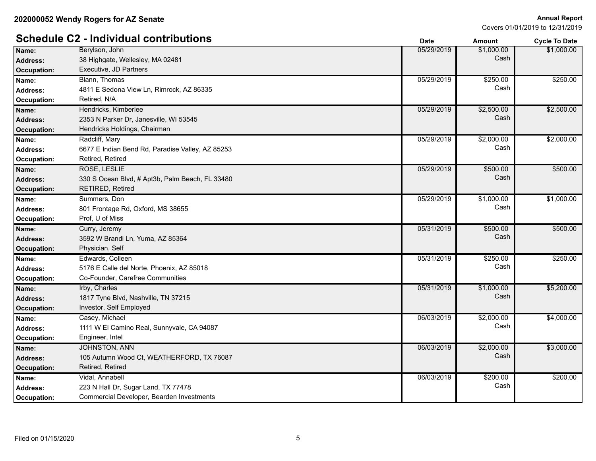| Covers 01/01/2019 to 12/31/2019 |  |
|---------------------------------|--|
|                                 |  |

|                 | <b>Schedule C2 - Individual contributions</b>    | <b>Date</b> | <b>Amount</b> | <b>Cycle To Date</b> |
|-----------------|--------------------------------------------------|-------------|---------------|----------------------|
| Name:           | Berylson, John                                   | 05/29/2019  | \$1,000.00    | \$1,000.00           |
| <b>Address:</b> | 38 Highgate, Wellesley, MA 02481                 |             | Cash          |                      |
| Occupation:     | Executive, JD Partners                           |             |               |                      |
| Name:           | Blann, Thomas                                    | 05/29/2019  | \$250.00      | \$250.00             |
| <b>Address:</b> | 4811 E Sedona View Ln, Rimrock, AZ 86335         |             | Cash          |                      |
| Occupation:     | Retired, N/A                                     |             |               |                      |
| Name:           | Hendricks, Kimberlee                             | 05/29/2019  | \$2,500.00    | \$2,500.00           |
| Address:        | 2353 N Parker Dr, Janesville, WI 53545           |             | Cash          |                      |
| Occupation:     | Hendricks Holdings, Chairman                     |             |               |                      |
| Name:           | Radcliff, Mary                                   | 05/29/2019  | \$2,000.00    | \$2,000.00           |
| <b>Address:</b> | 6677 E Indian Bend Rd, Paradise Valley, AZ 85253 |             | Cash          |                      |
| Occupation:     | Retired, Retired                                 |             |               |                      |
| Name:           | ROSE, LESLIE                                     | 05/29/2019  | \$500.00      | \$500.00             |
| Address:        | 330 S Ocean Blvd, # Apt3b, Palm Beach, FL 33480  |             | Cash          |                      |
| Occupation:     | RETIRED, Retired                                 |             |               |                      |
| Name:           | Summers, Don                                     | 05/29/2019  | \$1,000.00    | \$1,000.00           |
| <b>Address:</b> | 801 Frontage Rd, Oxford, MS 38655                |             | Cash          |                      |
| Occupation:     | Prof, U of Miss                                  |             |               |                      |
| Name:           | Curry, Jeremy                                    | 05/31/2019  | \$500.00      | \$500.00             |
| Address:        | 3592 W Brandi Ln, Yuma, AZ 85364                 |             | Cash          |                      |
| Occupation:     | Physician, Self                                  |             |               |                      |
| Name:           | Edwards, Colleen                                 | 05/31/2019  | \$250.00      | \$250.00             |
| Address:        | 5176 E Calle del Norte, Phoenix, AZ 85018        |             | Cash          |                      |
| Occupation:     | Co-Founder, Carefree Communities                 |             |               |                      |
| Name:           | Irby, Charles                                    | 05/31/2019  | \$1,000.00    | \$5,200.00           |
| <b>Address:</b> | 1817 Tyne Blvd, Nashville, TN 37215              |             | Cash          |                      |
| Occupation:     | Investor, Self Employed                          |             |               |                      |
| Name:           | Casey, Michael                                   | 06/03/2019  | \$2,000.00    | \$4,000.00           |
| <b>Address:</b> | 1111 W El Camino Real, Sunnyvale, CA 94087       |             | Cash          |                      |
| Occupation:     | Engineer, Intel                                  |             |               |                      |
| Name:           | <b>JOHNSTON, ANN</b>                             | 06/03/2019  | \$2,000.00    | \$3,000.00           |
| <b>Address:</b> | 105 Autumn Wood Ct, WEATHERFORD, TX 76087        |             | Cash          |                      |
| Occupation:     | Retired, Retired                                 |             |               |                      |
| Name:           | Vidal, Annabell                                  | 06/03/2019  | \$200.00      | \$200.00             |
| <b>Address:</b> | 223 N Hall Dr, Sugar Land, TX 77478              |             | Cash          |                      |
| Occupation:     | Commercial Developer, Bearden Investments        |             |               |                      |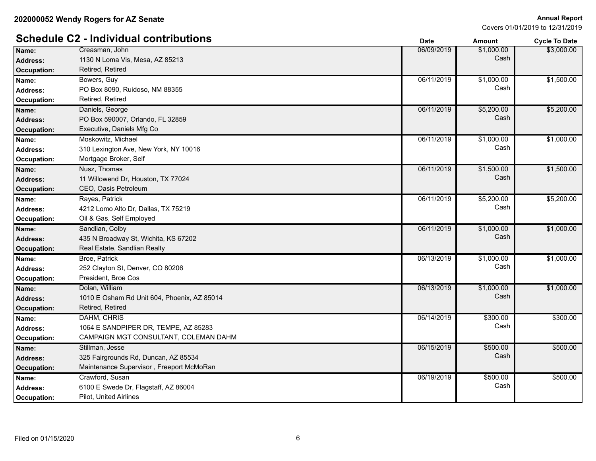|                    | <b>Schedule C2 - Individual contributions</b> | <b>Date</b> | <b>Amount</b> | <b>Cycle To Date</b> |
|--------------------|-----------------------------------------------|-------------|---------------|----------------------|
| Name:              | Creasman, John                                | 06/09/2019  | \$1,000.00    | \$3,000.00           |
| <b>Address:</b>    | 1130 N Loma Vis, Mesa, AZ 85213               |             | Cash          |                      |
| <b>Occupation:</b> | Retired, Retired                              |             |               |                      |
| Name:              | Bowers, Guy                                   | 06/11/2019  | \$1,000.00    | \$1,500.00           |
| <b>Address:</b>    | PO Box 8090, Ruidoso, NM 88355                |             | Cash          |                      |
| Occupation:        | Retired, Retired                              |             |               |                      |
| Name:              | Daniels, George                               | 06/11/2019  | \$5,200.00    | \$5,200.00           |
| <b>Address:</b>    | PO Box 590007, Orlando, FL 32859              |             | Cash          |                      |
| <b>Occupation:</b> | Executive, Daniels Mfg Co                     |             |               |                      |
| Name:              | Moskowitz, Michael                            | 06/11/2019  | \$1,000.00    | \$1,000.00           |
| <b>Address:</b>    | 310 Lexington Ave, New York, NY 10016         |             | Cash          |                      |
| Occupation:        | Mortgage Broker, Self                         |             |               |                      |
| Name:              | Nusz, Thomas                                  | 06/11/2019  | \$1,500.00    | \$1,500.00           |
| <b>Address:</b>    | 11 Willowend Dr, Houston, TX 77024            |             | Cash          |                      |
| <b>Occupation:</b> | CEO, Oasis Petroleum                          |             |               |                      |
| Name:              | Rayes, Patrick                                | 06/11/2019  | \$5,200.00    | \$5,200.00           |
| <b>Address:</b>    | 4212 Lomo Alto Dr, Dallas, TX 75219           |             | Cash          |                      |
| Occupation:        | Oil & Gas, Self Employed                      |             |               |                      |
| Name:              | Sandlian, Colby                               | 06/11/2019  | \$1,000.00    | \$1,000.00           |
| <b>Address:</b>    | 435 N Broadway St, Wichita, KS 67202          |             | Cash          |                      |
| <b>Occupation:</b> | Real Estate, Sandlian Realty                  |             |               |                      |
| Name:              | Broe, Patrick                                 | 06/13/2019  | \$1,000.00    | \$1,000.00           |
| <b>Address:</b>    | 252 Clayton St, Denver, CO 80206              |             | Cash          |                      |
| Occupation:        | President, Broe Cos                           |             |               |                      |
| Name:              | Dolan, William                                | 06/13/2019  | \$1,000.00    | \$1,000.00           |
| <b>Address:</b>    | 1010 E Osham Rd Unit 604, Phoenix, AZ 85014   |             | Cash          |                      |
| <b>Occupation:</b> | Retired, Retired                              |             |               |                      |
| Name:              | <b>DAHM, CHRIS</b>                            | 06/14/2019  | \$300.00      | \$300.00             |
| <b>Address:</b>    | 1064 E SANDPIPER DR, TEMPE, AZ 85283          |             | Cash          |                      |
| Occupation:        | CAMPAIGN MGT CONSULTANT, COLEMAN DAHM         |             |               |                      |
| Name:              | Stillman, Jesse                               | 06/15/2019  | \$500.00      | \$500.00             |
| <b>Address:</b>    | 325 Fairgrounds Rd, Duncan, AZ 85534          |             | Cash          |                      |
| <b>Occupation:</b> | Maintenance Supervisor, Freeport McMoRan      |             |               |                      |
| Name:              | Crawford, Susan                               | 06/19/2019  | \$500.00      | \$500.00             |
| <b>Address:</b>    | 6100 E Swede Dr, Flagstaff, AZ 86004          |             | Cash          |                      |
| <b>Occupation:</b> | <b>Pilot, United Airlines</b>                 |             |               |                      |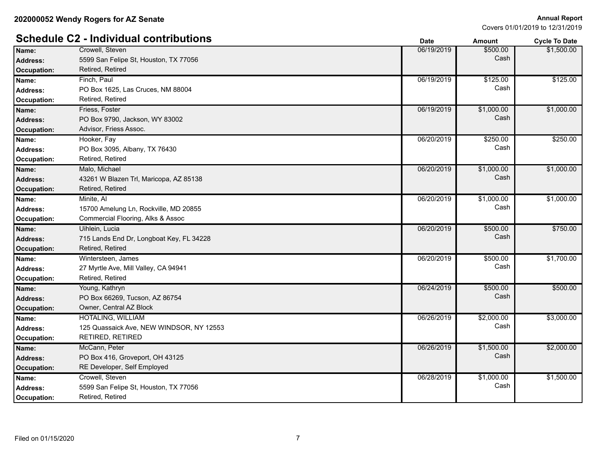|                 | <b>Schedule C2 - Individual contributions</b> | <b>Date</b> | Amount     | <b>Cycle To Date</b> |
|-----------------|-----------------------------------------------|-------------|------------|----------------------|
| Name:           | Crowell, Steven                               | 06/19/2019  | \$500.00   | \$1,500.00           |
| <b>Address:</b> | 5599 San Felipe St, Houston, TX 77056         |             | Cash       |                      |
| Occupation:     | Retired, Retired                              |             |            |                      |
| Name:           | Finch, Paul                                   | 06/19/2019  | \$125.00   | \$125.00             |
| <b>Address:</b> | PO Box 1625, Las Cruces, NM 88004             |             | Cash       |                      |
| Occupation:     | Retired, Retired                              |             |            |                      |
| Name:           | Friess, Foster                                | 06/19/2019  | \$1,000.00 | \$1,000.00           |
| <b>Address:</b> | PO Box 9790, Jackson, WY 83002                |             | Cash       |                      |
| Occupation:     | Advisor, Friess Assoc.                        |             |            |                      |
| Name:           | Hooker, Fay                                   | 06/20/2019  | \$250.00   | \$250.00             |
| <b>Address:</b> | PO Box 3095, Albany, TX 76430                 |             | Cash       |                      |
| Occupation:     | Retired, Retired                              |             |            |                      |
| Name:           | Malo, Michael                                 | 06/20/2019  | \$1,000.00 | \$1,000.00           |
| Address:        | 43261 W Blazen Trl, Maricopa, AZ 85138        |             | Cash       |                      |
| Occupation:     | Retired, Retired                              |             |            |                      |
| Name:           | Minite, Al                                    | 06/20/2019  | \$1,000.00 | \$1,000.00           |
| Address:        | 15700 Amelung Ln, Rockville, MD 20855         |             | Cash       |                      |
| Occupation:     | Commercial Flooring, Alks & Assoc             |             |            |                      |
| Name:           | Uihlein, Lucia                                | 06/20/2019  | \$500.00   | \$750.00             |
| Address:        | 715 Lands End Dr, Longboat Key, FL 34228      |             | Cash       |                      |
| Occupation:     | Retired, Retired                              |             |            |                      |
| Name:           | Wintersteen, James                            | 06/20/2019  | \$500.00   | \$1,700.00           |
| <b>Address:</b> | 27 Myrtle Ave, Mill Valley, CA 94941          |             | Cash       |                      |
| Occupation:     | Retired, Retired                              |             |            |                      |
| Name:           | Young, Kathryn                                | 06/24/2019  | \$500.00   | \$500.00             |
| Address:        | PO Box 66269, Tucson, AZ 86754                |             | Cash       |                      |
| Occupation:     | Owner, Central AZ Block                       |             |            |                      |
| Name:           | HOTALING, WILLIAM                             | 06/26/2019  | \$2,000.00 | \$3,000.00           |
| <b>Address:</b> | 125 Quassaick Ave, NEW WINDSOR, NY 12553      |             | Cash       |                      |
| Occupation:     | RETIRED, RETIRED                              |             |            |                      |
| Name:           | McCann, Peter                                 | 06/26/2019  | \$1,500.00 | \$2,000.00           |
| Address:        | PO Box 416, Groveport, OH 43125               |             | Cash       |                      |
| Occupation:     | RE Developer, Self Employed                   |             |            |                      |
| Name:           | Crowell, Steven                               | 06/28/2019  | \$1,000.00 | \$1,500.00           |
| <b>Address:</b> | 5599 San Felipe St, Houston, TX 77056         |             | Cash       |                      |
| Occupation:     | Retired, Retired                              |             |            |                      |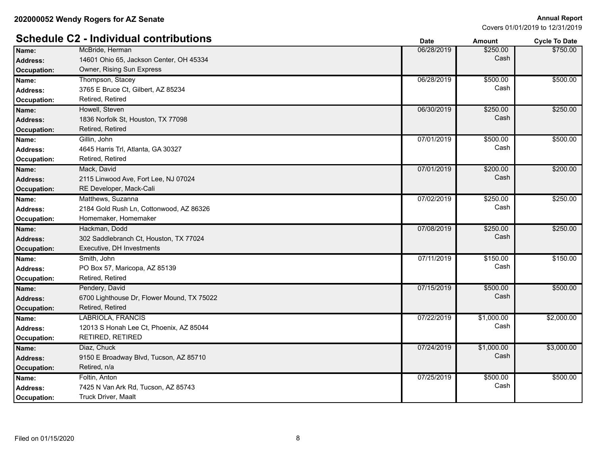|                    | <b>Schedule C2 - Individual contributions</b> | <b>Date</b> | <b>Amount</b> | <b>Cycle To Date</b> |
|--------------------|-----------------------------------------------|-------------|---------------|----------------------|
| Name:              | McBride, Herman                               | 06/28/2019  | \$250.00      | \$750.00             |
| Address:           | 14601 Ohio 65, Jackson Center, OH 45334       |             | Cash          |                      |
| Occupation:        | Owner, Rising Sun Express                     |             |               |                      |
| Name:              | Thompson, Stacey                              | 06/28/2019  | \$500.00      | \$500.00             |
| Address:           | 3765 E Bruce Ct, Gilbert, AZ 85234            |             | Cash          |                      |
| Occupation:        | Retired, Retired                              |             |               |                      |
| Name:              | Howell, Steven                                | 06/30/2019  | \$250.00      | \$250.00             |
| Address:           | 1836 Norfolk St, Houston, TX 77098            |             | Cash          |                      |
| Occupation:        | Retired, Retired                              |             |               |                      |
| Name:              | Gillin, John                                  | 07/01/2019  | \$500.00      | \$500.00             |
| <b>Address:</b>    | 4645 Harris Trl, Atlanta, GA 30327            |             | Cash          |                      |
| Occupation:        | Retired, Retired                              |             |               |                      |
| Name:              | Mack, David                                   | 07/01/2019  | \$200.00      | \$200.00             |
| Address:           | 2115 Linwood Ave, Fort Lee, NJ 07024          |             | Cash          |                      |
| Occupation:        | RE Developer, Mack-Cali                       |             |               |                      |
| Name:              | Matthews, Suzanna                             | 07/02/2019  | \$250.00      | \$250.00             |
| Address:           | 2184 Gold Rush Ln, Cottonwood, AZ 86326       |             | Cash          |                      |
| Occupation:        | Homemaker, Homemaker                          |             |               |                      |
| Name:              | Hackman, Dodd                                 | 07/08/2019  | \$250.00      | \$250.00             |
| <b>Address:</b>    | 302 Saddlebranch Ct, Houston, TX 77024        |             | Cash          |                      |
| <b>Occupation:</b> | Executive, DH Investments                     |             |               |                      |
| Name:              | Smith, John                                   | 07/11/2019  | \$150.00      | \$150.00             |
| Address:           | PO Box 57, Maricopa, AZ 85139                 |             | Cash          |                      |
| Occupation:        | Retired, Retired                              |             |               |                      |
| Name:              | Pendery, David                                | 07/15/2019  | \$500.00      | \$500.00             |
| <b>Address:</b>    | 6700 Lighthouse Dr, Flower Mound, TX 75022    |             | Cash          |                      |
| <b>Occupation:</b> | Retired, Retired                              |             |               |                      |
| Name:              | LABRIOLA, FRANCIS                             | 07/22/2019  | \$1,000.00    | \$2,000.00           |
| <b>Address:</b>    | 12013 S Honah Lee Ct, Phoenix, AZ 85044       |             | Cash          |                      |
| Occupation:        | RETIRED, RETIRED                              |             |               |                      |
| Name:              | Diaz, Chuck                                   | 07/24/2019  | \$1,000.00    | \$3,000.00           |
| <b>Address:</b>    | 9150 E Broadway Blvd, Tucson, AZ 85710        |             | Cash          |                      |
| <b>Occupation:</b> | Retired, n/a                                  |             |               |                      |
| Name:              | Foltin, Anton                                 | 07/25/2019  | \$500.00      | \$500.00             |
| Address:           | 7425 N Van Ark Rd, Tucson, AZ 85743           |             | Cash          |                      |
| Occupation:        | Truck Driver, Maalt                           |             |               |                      |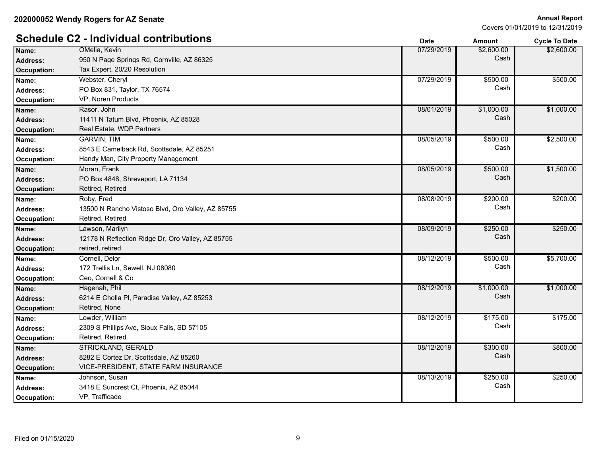# **Schedule C2 - Individual contributions Date Amount Cycle To Date**

|                    | Schedule C2 - Individual contributions            | <b>Date</b> | <b>Amount</b> | <b>Cycle To Date</b> |
|--------------------|---------------------------------------------------|-------------|---------------|----------------------|
| Name:              | OMelia, Kevin                                     | 07/29/2019  | \$2,600.00    | \$2,600.00           |
| <b>Address:</b>    | 950 N Page Springs Rd, Cornville, AZ 86325        |             | Cash          |                      |
| Occupation:        | Tax Expert, 20/20 Resolution                      |             |               |                      |
| Name:              | Webster, Cheryl                                   | 07/29/2019  | \$500.00      | \$500.00             |
| <b>Address:</b>    | PO Box 831, Taylor, TX 76574                      |             | Cash          |                      |
| Occupation:        | VP, Noren Products                                |             |               |                      |
| Name:              | Rasor, John                                       | 08/01/2019  | \$1,000.00    | \$1,000.00           |
| <b>Address:</b>    | 11411 N Tatum Blvd, Phoenix, AZ 85028             |             | Cash          |                      |
| <b>Occupation:</b> | Real Estate, WDP Partners                         |             |               |                      |
| Name:              | <b>GARVIN, TIM</b>                                | 08/05/2019  | \$500.00      | \$2,500.00           |
| <b>Address:</b>    | 8543 E Camelback Rd, Scottsdale, AZ 85251         |             | Cash          |                      |
| <b>Occupation:</b> | Handy Man, City Property Management               |             |               |                      |
| Name:              | Moran, Frank                                      | 08/05/2019  | \$500.00      | \$1,500.00           |
| <b>Address:</b>    | PO Box 4848, Shreveport, LA 71134                 |             | Cash          |                      |
| <b>Occupation:</b> | Retired, Retired                                  |             |               |                      |
| Name:              | Roby, Fred                                        | 08/08/2019  | \$200.00      | \$200.00             |
| <b>Address:</b>    | 13500 N Rancho Vistoso Blvd, Oro Valley, AZ 85755 |             | Cash          |                      |
| <b>Occupation:</b> | Retired, Retired                                  |             |               |                      |
| Name:              | Lawson, Marilyn                                   | 08/09/2019  | \$250.00      | \$250.00             |
| <b>Address:</b>    | 12178 N Reflection Ridge Dr, Oro Valley, AZ 85755 |             | Cash          |                      |
| <b>Occupation:</b> | retired, retired                                  |             |               |                      |
| Name:              | Cornell, Delor                                    | 08/12/2019  | \$500.00      | \$5,700.00           |
| Address:           | 172 Trellis Ln, Sewell, NJ 08080                  |             | Cash          |                      |
| Occupation:        | Ceo, Cornell & Co                                 |             |               |                      |
| Name:              | Hagenah, Phil                                     | 08/12/2019  | \$1,000.00    | \$1,000.00           |
| <b>Address:</b>    | 6214 E Cholla PI, Paradise Valley, AZ 85253       |             | Cash          |                      |
| <b>Occupation:</b> | Retired, None                                     |             |               |                      |
| Name:              | Lowder, William                                   | 08/12/2019  | \$175.00      | \$175.00             |
| <b>Address:</b>    | 2309 S Phillips Ave, Sioux Falls, SD 57105        |             | Cash          |                      |
| <b>Occupation:</b> | Retired, Retired                                  |             |               |                      |
| Name:              | <b>STRICKLAND, GERALD</b>                         | 08/12/2019  | \$300.00      | \$800.00             |
| <b>Address:</b>    | 8282 E Cortez Dr. Scottsdale, AZ 85260            |             | Cash          |                      |
| <b>Occupation:</b> | VICE-PRESIDENT, STATE FARM INSURANCE              |             |               |                      |
| Name:              | Johnson, Susan                                    | 08/13/2019  | \$250.00      | \$250.00             |
| <b>Address:</b>    | 3418 E Suncrest Ct, Phoenix, AZ 85044             |             | Cash          |                      |
| <b>Occupation:</b> | VP, Trafficade                                    |             |               |                      |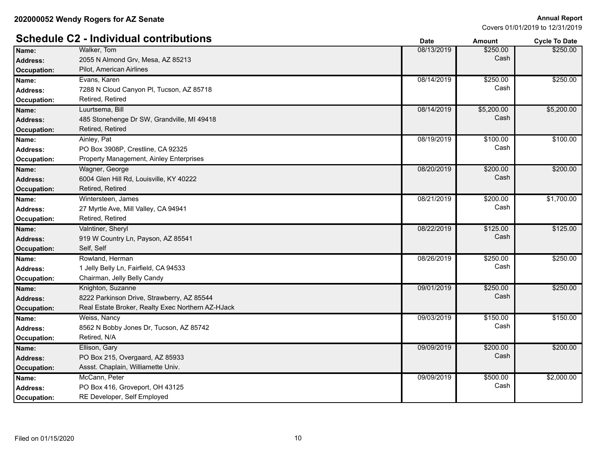# **Schedule C2 - Individual contributions Date Date** *Date**Amount* **Cycle To Date <b>***Cycle To Date*

| Name:              | Walker, Tom                                       | 08/13/2019 | \$250.00   | \$250.00   |
|--------------------|---------------------------------------------------|------------|------------|------------|
| <b>Address:</b>    | 2055 N Almond Grv, Mesa, AZ 85213                 |            | Cash       |            |
| Occupation:        | Pilot, American Airlines                          |            |            |            |
| Name:              | Evans, Karen                                      | 08/14/2019 | \$250.00   | \$250.00   |
| <b>Address:</b>    | 7288 N Cloud Canyon Pl, Tucson, AZ 85718          |            | Cash       |            |
| Occupation:        | Retired, Retired                                  |            |            |            |
| Name:              | Luurtsema, Bill                                   | 08/14/2019 | \$5,200.00 | \$5,200.00 |
| <b>Address:</b>    | 485 Stonehenge Dr SW, Grandville, MI 49418        |            | Cash       |            |
| <b>Occupation:</b> | Retired, Retired                                  |            |            |            |
| Name:              | Ainley, Pat                                       | 08/19/2019 | \$100.00   | \$100.00   |
| <b>Address:</b>    | PO Box 3908P, Crestline, CA 92325                 |            | Cash       |            |
| Occupation:        | Property Management, Ainley Enterprises           |            |            |            |
| Name:              | Wagner, George                                    | 08/20/2019 | \$200.00   | \$200.00   |
| <b>Address:</b>    | 6004 Glen Hill Rd, Louisville, KY 40222           |            | Cash       |            |
| <b>Occupation:</b> | Retired, Retired                                  |            |            |            |
| Name:              | Wintersteen, James                                | 08/21/2019 | \$200.00   | \$1,700.00 |
| <b>Address:</b>    | 27 Myrtle Ave, Mill Valley, CA 94941              |            | Cash       |            |
| Occupation:        | Retired, Retired                                  |            |            |            |
| Name:              | Valntiner, Sheryl                                 | 08/22/2019 | \$125.00   | \$125.00   |
| <b>Address:</b>    | 919 W Country Ln, Payson, AZ 85541                |            | Cash       |            |
| Occupation:        | Self, Self                                        |            |            |            |
| Name:              | Rowland, Herman                                   | 08/26/2019 | \$250.00   | \$250.00   |
| <b>Address:</b>    | 1 Jelly Belly Ln, Fairfield, CA 94533             |            | Cash       |            |
| Occupation:        | Chairman, Jelly Belly Candy                       |            |            |            |
| Name:              | Knighton, Suzanne                                 | 09/01/2019 | \$250.00   | \$250.00   |
| <b>Address:</b>    | 8222 Parkinson Drive, Strawberry, AZ 85544        |            | Cash       |            |
| <b>Occupation:</b> | Real Estate Broker, Realty Exec Northern AZ-HJack |            |            |            |
| Name:              | Weiss, Nancy                                      | 09/03/2019 | \$150.00   | \$150.00   |
| <b>Address:</b>    | 8562 N Bobby Jones Dr, Tucson, AZ 85742           |            | Cash       |            |
| Occupation:        | Retired, N/A                                      |            |            |            |
| Name:              | Ellison, Gary                                     | 09/09/2019 | \$200.00   | \$200.00   |
| <b>Address:</b>    | PO Box 215, Overgaard, AZ 85933                   |            | Cash       |            |
| <b>Occupation:</b> | Assst. Chaplain, Williamette Univ.                |            |            |            |
| Name:              | McCann, Peter                                     | 09/09/2019 | \$500.00   | \$2,000.00 |
| <b>Address:</b>    | PO Box 416, Groveport, OH 43125                   |            | Cash       |            |
| Occupation:        | RE Developer, Self Employed                       |            |            |            |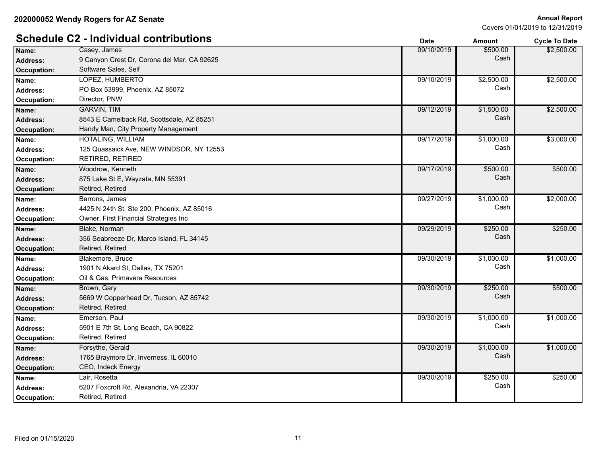# **Schedule C2 - Individual contributions Date Amount Cycle To Date**

|                    | Schedule C2 - Individual contributions      | <b>Date</b> | <b>Amount</b> | <b>Cycle To Date</b> |
|--------------------|---------------------------------------------|-------------|---------------|----------------------|
| Name:              | Casey, James                                | 09/10/2019  | \$500.00      | \$2,500.00           |
| <b>Address:</b>    | 9 Canyon Crest Dr, Corona del Mar, CA 92625 |             | Cash          |                      |
| Occupation:        | Software Sales, Self                        |             |               |                      |
| Name:              | LOPEZ, HUMBERTO                             | 09/10/2019  | \$2,500.00    | \$2,500.00           |
| <b>Address:</b>    | PO Box 53999, Phoenix, AZ 85072             |             | Cash          |                      |
| Occupation:        | Director, PNW                               |             |               |                      |
| Name:              | <b>GARVIN, TIM</b>                          | 09/12/2019  | \$1,500.00    | \$2,500.00           |
| <b>Address:</b>    | 8543 E Camelback Rd, Scottsdale, AZ 85251   |             | Cash          |                      |
| Occupation:        | Handy Man, City Property Management         |             |               |                      |
| Name:              | HOTALING, WILLIAM                           | 09/17/2019  | \$1,000.00    | \$3,000.00           |
| <b>Address:</b>    | 125 Quassaick Ave, NEW WINDSOR, NY 12553    |             | Cash          |                      |
| <b>Occupation:</b> | RETIRED, RETIRED                            |             |               |                      |
| Name:              | Woodrow, Kenneth                            | 09/17/2019  | \$500.00      | \$500.00             |
| Address:           | 875 Lake St E, Wayzata, MN 55391            |             | Cash          |                      |
| <b>Occupation:</b> | Retired, Retired                            |             |               |                      |
| Name:              | Barrons, James                              | 09/27/2019  | \$1,000.00    | \$2,000.00           |
| <b>Address:</b>    | 4425 N 24th St, Ste 200, Phoenix, AZ 85016  |             | Cash          |                      |
| Occupation:        | Owner, First Financial Strategies Inc       |             |               |                      |
| Name:              | Blake, Norman                               | 09/29/2019  | \$250.00      | \$250.00             |
| <b>Address:</b>    | 356 Seabreeze Dr, Marco Island, FL 34145    |             | Cash          |                      |
| Occupation:        | Retired, Retired                            |             |               |                      |
| Name:              | Blakemore, Bruce                            | 09/30/2019  | \$1,000.00    | \$1,000.00           |
| <b>Address:</b>    | 1901 N Akard St, Dallas, TX 75201           |             | Cash          |                      |
| Occupation:        | Oil & Gas, Primavera Resources              |             |               |                      |
| Name:              | Brown, Gary                                 | 09/30/2019  | \$250.00      | \$500.00             |
| <b>Address:</b>    | 5669 W Copperhead Dr, Tucson, AZ 85742      |             | Cash          |                      |
| Occupation:        | Retired, Retired                            |             |               |                      |
| Name:              | Emerson, Paul                               | 09/30/2019  | \$1,000.00    | \$1,000.00           |
| <b>Address:</b>    | 5901 E 7th St, Long Beach, CA 90822         |             | Cash          |                      |
| Occupation:        | Retired, Retired                            |             |               |                      |
| Name:              | Forsythe, Gerald                            | 09/30/2019  | \$1,000.00    | \$1,000.00           |
| <b>Address:</b>    | 1765 Braymore Dr, Inverness, IL 60010       |             | Cash          |                      |
| Occupation:        | CEO, Indeck Energy                          |             |               |                      |
| Name:              | Lair, Rosetta                               | 09/30/2019  | \$250.00      | \$250.00             |
| <b>Address:</b>    | 6207 Foxcroft Rd, Alexandria, VA 22307      |             | Cash          |                      |
| Occupation:        | Retired, Retired                            |             |               |                      |
|                    |                                             |             |               |                      |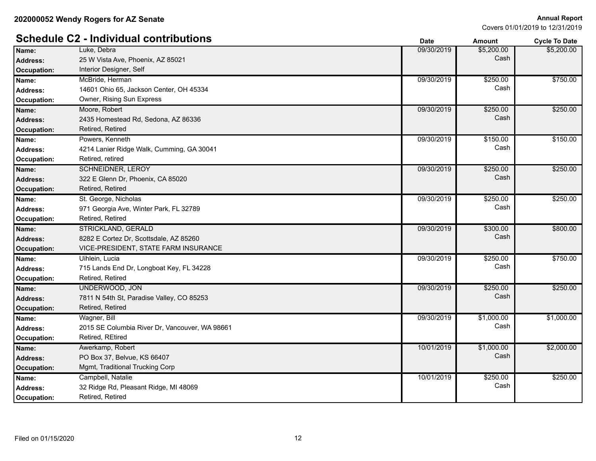|                    | <b>Schedule C2 - Individual contributions</b>  | <b>Date</b> | <b>Amount</b> | <b>Cycle To Date</b> |
|--------------------|------------------------------------------------|-------------|---------------|----------------------|
| Name:              | Luke, Debra                                    | 09/30/2019  | \$5,200.00    | \$5,200.00           |
| Address:           | 25 W Vista Ave, Phoenix, AZ 85021              |             | Cash          |                      |
| Occupation:        | Interior Designer, Self                        |             |               |                      |
| Name:              | McBride, Herman                                | 09/30/2019  | \$250.00      | \$750.00             |
| Address:           | 14601 Ohio 65, Jackson Center, OH 45334        |             | Cash          |                      |
| Occupation:        | Owner, Rising Sun Express                      |             |               |                      |
| Name:              | Moore, Robert                                  | 09/30/2019  | \$250.00      | \$250.00             |
| <b>Address:</b>    | 2435 Homestead Rd, Sedona, AZ 86336            |             | Cash          |                      |
| <b>Occupation:</b> | Retired, Retired                               |             |               |                      |
| Name:              | Powers, Kenneth                                | 09/30/2019  | \$150.00      | \$150.00             |
| <b>Address:</b>    | 4214 Lanier Ridge Walk, Cumming, GA 30041      |             | Cash          |                      |
| Occupation:        | Retired, retired                               |             |               |                      |
| Name:              | <b>SCHNEIDNER, LEROY</b>                       | 09/30/2019  | \$250.00      | \$250.00             |
| <b>Address:</b>    | 322 E Glenn Dr, Phoenix, CA 85020              |             | Cash          |                      |
| <b>Occupation:</b> | Retired, Retired                               |             |               |                      |
| Name:              | St. George, Nicholas                           | 09/30/2019  | \$250.00      | \$250.00             |
| <b>Address:</b>    | 971 Georgia Ave, Winter Park, FL 32789         |             | Cash          |                      |
| Occupation:        | Retired, Retired                               |             |               |                      |
| Name:              | <b>STRICKLAND, GERALD</b>                      | 09/30/2019  | \$300.00      | \$800.00             |
| <b>Address:</b>    | 8282 E Cortez Dr, Scottsdale, AZ 85260         |             | Cash          |                      |
| Occupation:        | VICE-PRESIDENT, STATE FARM INSURANCE           |             |               |                      |
| Name:              | Uihlein, Lucia                                 | 09/30/2019  | \$250.00      | \$750.00             |
| <b>Address:</b>    | 715 Lands End Dr, Longboat Key, FL 34228       |             | Cash          |                      |
| Occupation:        | Retired, Retired                               |             |               |                      |
| Name:              | UNDERWOOD, JON                                 | 09/30/2019  | \$250.00      | \$250.00             |
| Address:           | 7811 N 54th St, Paradise Valley, CO 85253      |             | Cash          |                      |
| Occupation:        | Retired, Retired                               |             |               |                      |
| Name:              | Wagner, Bill                                   | 09/30/2019  | \$1,000.00    | \$1,000.00           |
| Address:           | 2015 SE Columbia River Dr, Vancouver, WA 98661 |             | Cash          |                      |
| Occupation:        | Retired, REtired                               |             |               |                      |
| Name:              | Awerkamp, Robert                               | 10/01/2019  | \$1,000.00    | \$2,000.00           |
| Address:           | PO Box 37, Belvue, KS 66407                    |             | Cash          |                      |
| Occupation:        | Mgmt, Traditional Trucking Corp                |             |               |                      |
| Name:              | Campbell, Natalie                              | 10/01/2019  | \$250.00      | \$250.00             |
| <b>Address:</b>    | 32 Ridge Rd, Pleasant Ridge, MI 48069          |             | Cash          |                      |
| Occupation:        | Retired, Retired                               |             |               |                      |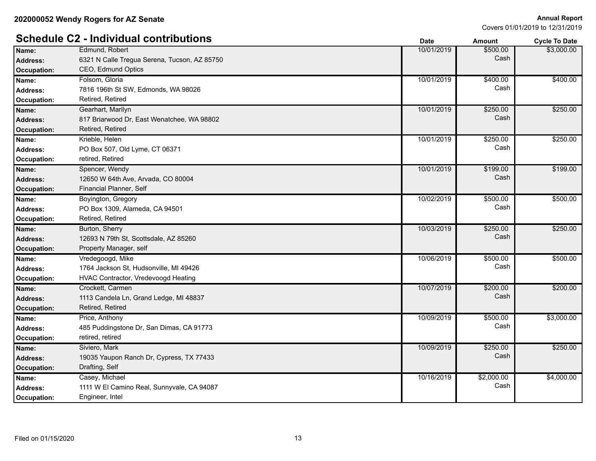|                 | <b>Schedule C2 - Individual contributions</b> | <b>Date</b> | <b>Amount</b> | <b>Cycle To Date</b> |
|-----------------|-----------------------------------------------|-------------|---------------|----------------------|
| Name:           | Edmund, Robert                                | 10/01/2019  | \$500.00      | \$3,000.00           |
| Address:        | 6321 N Calle Tregua Serena, Tucson, AZ 85750  |             | Cash          |                      |
| Occupation:     | CEO, Edmund Optics                            |             |               |                      |
| Name:           | Folsom, Gloria                                | 10/01/2019  | \$400.00      | \$400.00             |
| Address:        | 7816 196th St SW, Edmonds, WA 98026           |             | Cash          |                      |
| Occupation:     | Retired, Retired                              |             |               |                      |
| Name:           | Gearhart, Marilyn                             | 10/01/2019  | \$250.00      | \$250.00             |
| <b>Address:</b> | 817 Briarwood Dr, East Wenatchee, WA 98802    |             | Cash          |                      |
| Occupation:     | Retired, Retired                              |             |               |                      |
| Name:           | Krieble, Helen                                | 10/01/2019  | \$250.00      | \$250.00             |
| <b>Address:</b> | PO Box 507, Old Lyme, CT 06371                |             | Cash          |                      |
| Occupation:     | retired, Retired                              |             |               |                      |
| Name:           | Spencer, Wendy                                | 10/01/2019  | \$199.00      | \$199.00             |
| Address:        | 12650 W 64th Ave, Arvada, CO 80004            |             | Cash          |                      |
| Occupation:     | Financial Planner, Self                       |             |               |                      |
| Name:           | Boyington, Gregory                            | 10/02/2019  | \$500.00      | \$500.00             |
| <b>Address:</b> | PO Box 1309, Alameda, CA 94501                |             | Cash          |                      |
| Occupation:     | Retired, Retired                              |             |               |                      |
| Name:           | Burton, Sherry                                | 10/03/2019  | \$250.00      | \$250.00             |
| <b>Address:</b> | 12693 N 79th St, Scottsdale, AZ 85260         |             | Cash          |                      |
| Occupation:     | Property Manager, self                        |             |               |                      |
| Name:           | Vredegoogd, Mike                              | 10/06/2019  | \$500.00      | \$500.00             |
| <b>Address:</b> | 1764 Jackson St, Hudsonville, MI 49426        |             | Cash          |                      |
| Occupation:     | HVAC Contractor, Vredevoogd Heating           |             |               |                      |
| Name:           | Crockett, Carmen                              | 10/07/2019  | \$200.00      | \$200.00             |
| <b>Address:</b> | 1113 Candela Ln, Grand Ledge, MI 48837        |             | Cash          |                      |
| Occupation:     | Retired, Retired                              |             |               |                      |
| Name:           | Price, Anthony                                | 10/09/2019  | \$500.00      | \$3,000.00           |
| <b>Address:</b> | 485 Puddingstone Dr, San Dimas, CA 91773      |             | Cash          |                      |
| Occupation:     | retired, retired                              |             |               |                      |
| Name:           | Siviero, Mark                                 | 10/09/2019  | \$250.00      | \$250.00             |
| Address:        | 19035 Yaupon Ranch Dr, Cypress, TX 77433      |             | Cash          |                      |
| Occupation:     | Drafting, Self                                |             |               |                      |
| Name:           | Casey, Michael                                | 10/16/2019  | \$2,000.00    | \$4,000.00           |
| <b>Address:</b> | 1111 W El Camino Real, Sunnyvale, CA 94087    |             | Cash          |                      |
| Occupation:     | Engineer, Intel                               |             |               |                      |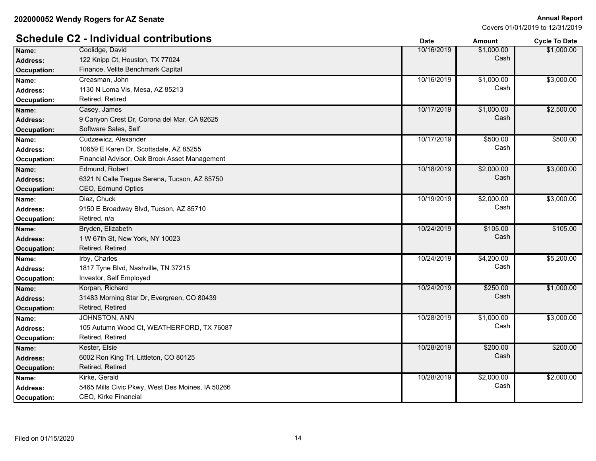|                    | <b>Schedule C2 - Individual contributions</b>    | <b>Date</b> | <b>Amount</b> | <b>Cycle To Date</b> |
|--------------------|--------------------------------------------------|-------------|---------------|----------------------|
| Name:              | Coolidge, David                                  | 10/16/2019  | \$1,000.00    | \$1,000.00           |
| Address:           | 122 Knipp Ct, Houston, TX 77024                  |             | Cash          |                      |
| Occupation:        | Finance, Velite Benchmark Capital                |             |               |                      |
| Name:              | Creasman, John                                   | 10/16/2019  | \$1,000.00    | \$3,000.00           |
| <b>Address:</b>    | 1130 N Loma Vis, Mesa, AZ 85213                  |             | Cash          |                      |
| Occupation:        | Retired, Retired                                 |             |               |                      |
| Name:              | Casey, James                                     | 10/17/2019  | \$1,000.00    | \$2,500.00           |
| <b>Address:</b>    | 9 Canyon Crest Dr, Corona del Mar, CA 92625      |             | Cash          |                      |
| Occupation:        | Software Sales, Self                             |             |               |                      |
| Name:              | Cudzewicz, Alexander                             | 10/17/2019  | \$500.00      | \$500.00             |
| Address:           | 10659 E Karen Dr, Scottsdale, AZ 85255           |             | Cash          |                      |
| Occupation:        | Financial Advisor, Oak Brook Asset Management    |             |               |                      |
| Name:              | Edmund, Robert                                   | 10/18/2019  | \$2,000.00    | \$3,000.00           |
| Address:           | 6321 N Calle Tregua Serena, Tucson, AZ 85750     |             | Cash          |                      |
| Occupation:        | CEO, Edmund Optics                               |             |               |                      |
| Name:              | Diaz, Chuck                                      | 10/19/2019  | \$2,000.00    | \$3,000.00           |
| <b>Address:</b>    | 9150 E Broadway Blvd, Tucson, AZ 85710           |             | Cash          |                      |
| Occupation:        | Retired, n/a                                     |             |               |                      |
| Name:              | Bryden, Elizabeth                                | 10/24/2019  | \$105.00      | \$105.00             |
| <b>Address:</b>    | 1 W 67th St, New York, NY 10023                  |             | Cash          |                      |
| Occupation:        | Retired, Retired                                 |             |               |                      |
| Name:              | Irby, Charles                                    | 10/24/2019  | \$4,200.00    | \$5,200.00           |
| <b>Address:</b>    | 1817 Tyne Blvd, Nashville, TN 37215              |             | Cash          |                      |
| Occupation:        | Investor, Self Employed                          |             |               |                      |
| Name:              | Korpan, Richard                                  | 10/24/2019  | \$250.00      | \$1,000.00           |
| <b>Address:</b>    | 31483 Morning Star Dr, Evergreen, CO 80439       |             | Cash          |                      |
| Occupation:        | Retired, Retired                                 |             |               |                      |
| Name:              | <b>JOHNSTON, ANN</b>                             | 10/28/2019  | \$1,000.00    | \$3,000.00           |
| <b>Address:</b>    | 105 Autumn Wood Ct, WEATHERFORD, TX 76087        |             | Cash          |                      |
| <b>Occupation:</b> | Retired, Retired                                 |             |               |                      |
| Name:              | Kester, Elsie                                    | 10/28/2019  | \$200.00      | \$200.00             |
| <b>Address:</b>    | 6002 Ron King Trl, Littleton, CO 80125           |             | Cash          |                      |
| Occupation:        | Retired, Retired                                 |             |               |                      |
| Name:              | Kirke, Gerald                                    | 10/28/2019  | \$2,000.00    | \$2,000.00           |
| <b>Address:</b>    | 5465 Mills Civic Pkwy, West Des Moines, IA 50266 |             | Cash          |                      |
| Occupation:        | <b>CEO, Kirke Financial</b>                      |             |               |                      |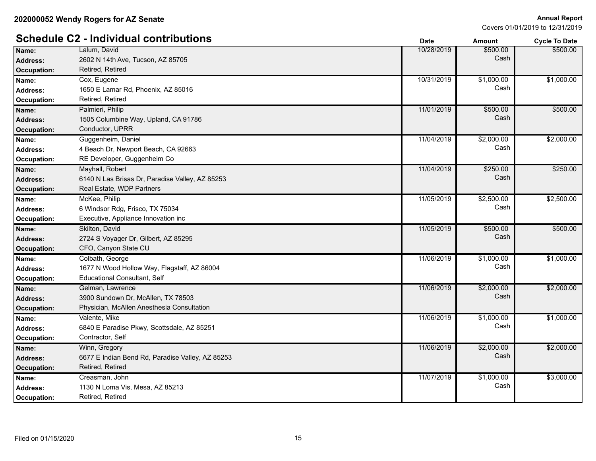|                    | <b>Schedule C2 - Individual contributions</b>    | <b>Date</b> | <b>Amount</b> | <b>Cycle To Date</b> |
|--------------------|--------------------------------------------------|-------------|---------------|----------------------|
| Name:              | Lalum, David                                     | 10/28/2019  | \$500.00      | \$500.00             |
| <b>Address:</b>    | 2602 N 14th Ave, Tucson, AZ 85705                |             | Cash          |                      |
| <b>Occupation:</b> | Retired, Retired                                 |             |               |                      |
| Name:              | Cox, Eugene                                      | 10/31/2019  | \$1,000.00    | \$1,000.00           |
| <b>Address:</b>    | 1650 E Lamar Rd, Phoenix, AZ 85016               |             | Cash          |                      |
| Occupation:        | Retired, Retired                                 |             |               |                      |
| Name:              | Palmieri, Philip                                 | 11/01/2019  | \$500.00      | \$500.00             |
| <b>Address:</b>    | 1505 Columbine Way, Upland, CA 91786             |             | Cash          |                      |
| <b>Occupation:</b> | Conductor, UPRR                                  |             |               |                      |
| Name:              | Guggenheim, Daniel                               | 11/04/2019  | \$2,000.00    | \$2,000.00           |
| <b>Address:</b>    | 4 Beach Dr, Newport Beach, CA 92663              |             | Cash          |                      |
| Occupation:        | RE Developer, Guggenheim Co                      |             |               |                      |
| Name:              | Mayhall, Robert                                  | 11/04/2019  | \$250.00      | \$250.00             |
| <b>Address:</b>    | 6140 N Las Brisas Dr, Paradise Valley, AZ 85253  |             | Cash          |                      |
| <b>Occupation:</b> | Real Estate, WDP Partners                        |             |               |                      |
| Name:              | McKee, Philip                                    | 11/05/2019  | \$2,500.00    | \$2,500.00           |
| <b>Address:</b>    | 6 Windsor Rdg, Frisco, TX 75034                  |             | Cash          |                      |
| Occupation:        | Executive, Appliance Innovation inc              |             |               |                      |
| Name:              | Skilton, David                                   | 11/05/2019  | \$500.00      | \$500.00             |
| <b>Address:</b>    | 2724 S Voyager Dr, Gilbert, AZ 85295             |             | Cash          |                      |
| <b>Occupation:</b> | CFO, Canyon State CU                             |             |               |                      |
| Name:              | Colbath, George                                  | 11/06/2019  | \$1,000.00    | \$1,000.00           |
| <b>Address:</b>    | 1677 N Wood Hollow Way, Flagstaff, AZ 86004      |             | Cash          |                      |
| Occupation:        | <b>Educational Consultant, Self</b>              |             |               |                      |
| Name:              | Gelman, Lawrence                                 | 11/06/2019  | \$2,000.00    | \$2,000.00           |
| <b>Address:</b>    | 3900 Sundown Dr, McAllen, TX 78503               |             | Cash          |                      |
| <b>Occupation:</b> | Physician, McAllen Anesthesia Consultation       |             |               |                      |
| Name:              | Valente, Mike                                    | 11/06/2019  | \$1,000.00    | \$1,000.00           |
| <b>Address:</b>    | 6840 E Paradise Pkwy, Scottsdale, AZ 85251       |             | Cash          |                      |
| Occupation:        | Contractor, Self                                 |             |               |                      |
| Name:              | Winn, Gregory                                    | 11/06/2019  | \$2,000.00    | \$2,000.00           |
| <b>Address:</b>    | 6677 E Indian Bend Rd, Paradise Valley, AZ 85253 |             | Cash          |                      |
| <b>Occupation:</b> | Retired, Retired                                 |             |               |                      |
| Name:              | Creasman, John                                   | 11/07/2019  | \$1,000.00    | \$3,000.00           |
| <b>Address:</b>    | 1130 N Loma Vis, Mesa, AZ 85213                  |             | Cash          |                      |
| <b>Occupation:</b> | Retired, Retired                                 |             |               |                      |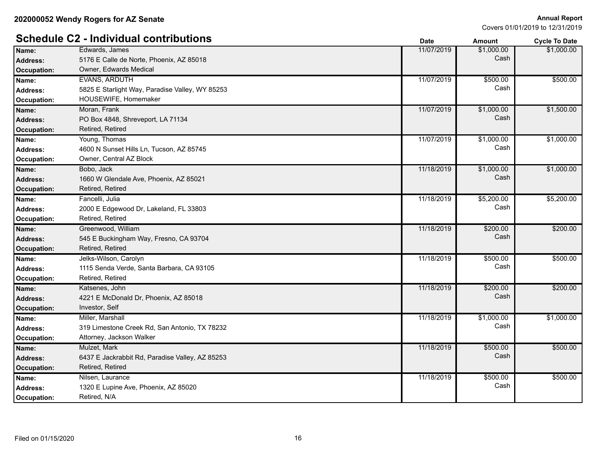|                    | <b>Schedule C2 - Individual contributions</b>   | <b>Date</b> | <b>Amount</b> | <b>Cycle To Date</b> |
|--------------------|-------------------------------------------------|-------------|---------------|----------------------|
| Name:              | Edwards, James                                  | 11/07/2019  | \$1,000.00    | \$1,000.00           |
| <b>Address:</b>    | 5176 E Calle de Norte, Phoenix, AZ 85018        |             | Cash          |                      |
| <b>Occupation:</b> | Owner, Edwards Medical                          |             |               |                      |
| Name:              | <b>EVANS, ARDUTH</b>                            | 11/07/2019  | \$500.00      | \$500.00             |
| Address:           | 5825 E Starlight Way, Paradise Valley, WY 85253 |             | Cash          |                      |
| Occupation:        | HOUSEWIFE, Homemaker                            |             |               |                      |
| Name:              | Moran, Frank                                    | 11/07/2019  | \$1,000.00    | \$1,500.00           |
| <b>Address:</b>    | PO Box 4848, Shreveport, LA 71134               |             | Cash          |                      |
| <b>Occupation:</b> | Retired, Retired                                |             |               |                      |
| Name:              | Young, Thomas                                   | 11/07/2019  | \$1,000.00    | \$1,000.00           |
| <b>Address:</b>    | 4600 N Sunset Hills Ln, Tucson, AZ 85745        |             | Cash          |                      |
| Occupation:        | Owner, Central AZ Block                         |             |               |                      |
| Name:              | Bobo, Jack                                      | 11/18/2019  | \$1,000.00    | \$1,000.00           |
| <b>Address:</b>    | 1660 W Glendale Ave, Phoenix, AZ 85021          |             | Cash          |                      |
| <b>Occupation:</b> | Retired, Retired                                |             |               |                      |
| Name:              | Fancelli, Julia                                 | 11/18/2019  | \$5,200.00    | \$5,200.00           |
| <b>Address:</b>    | 2000 E Edgewood Dr, Lakeland, FL 33803          |             | Cash          |                      |
| <b>Occupation:</b> | Retired, Retired                                |             |               |                      |
| Name:              | Greenwood, William                              | 11/18/2019  | \$200.00      | \$200.00             |
| <b>Address:</b>    | 545 E Buckingham Way, Fresno, CA 93704          |             | Cash          |                      |
| <b>Occupation:</b> | Retired, Retired                                |             |               |                      |
| Name:              | Jelks-Wilson, Carolyn                           | 11/18/2019  | \$500.00      | \$500.00             |
| <b>Address:</b>    | 1115 Senda Verde, Santa Barbara, CA 93105       |             | Cash          |                      |
| Occupation:        | Retired, Retired                                |             |               |                      |
| Name:              | Katsenes, John                                  | 11/18/2019  | \$200.00      | \$200.00             |
| <b>Address:</b>    | 4221 E McDonald Dr, Phoenix, AZ 85018           |             | Cash          |                      |
| <b>Occupation:</b> | Investor, Self                                  |             |               |                      |
| Name:              | Miller, Marshall                                | 11/18/2019  | \$1,000.00    | \$1,000.00           |
| <b>Address:</b>    | 319 Limestone Creek Rd, San Antonio, TX 78232   |             | Cash          |                      |
| Occupation:        | Attorney, Jackson Walker                        |             |               |                      |
| Name:              | Mulzet, Mark                                    | 11/18/2019  | \$500.00      | \$500.00             |
| <b>Address:</b>    | 6437 E Jackrabbit Rd, Paradise Valley, AZ 85253 |             | Cash          |                      |
| <b>Occupation:</b> | Retired, Retired                                |             |               |                      |
| Name:              | Nilsen, Laurance                                | 11/18/2019  | \$500.00      | \$500.00             |
| <b>Address:</b>    | 1320 E Lupine Ave, Phoenix, AZ 85020            |             | Cash          |                      |
| <b>Occupation:</b> | Retired, N/A                                    |             |               |                      |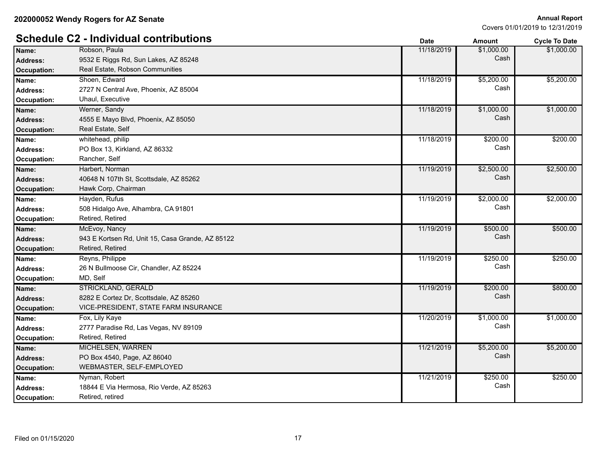|                    | <b>Schedule C2 - Individual contributions</b>    | <b>Date</b> | <b>Amount</b> | <b>Cycle To Date</b> |
|--------------------|--------------------------------------------------|-------------|---------------|----------------------|
| Name:              | Robson, Paula                                    | 11/18/2019  | \$1,000.00    | \$1,000.00           |
| <b>Address:</b>    | 9532 E Riggs Rd, Sun Lakes, AZ 85248             |             | Cash          |                      |
| <b>Occupation:</b> | Real Estate, Robson Communities                  |             |               |                      |
| Name:              | Shoen, Edward                                    | 11/18/2019  | \$5,200.00    | \$5,200.00           |
| <b>Address:</b>    | 2727 N Central Ave, Phoenix, AZ 85004            |             | Cash          |                      |
| Occupation:        | Uhaul, Executive                                 |             |               |                      |
| Name:              | Werner, Sandy                                    | 11/18/2019  | \$1,000.00    | \$1,000.00           |
| <b>Address:</b>    | 4555 E Mayo Blvd, Phoenix, AZ 85050              |             | Cash          |                      |
| <b>Occupation:</b> | Real Estate, Self                                |             |               |                      |
| Name:              | whitehead, philip                                | 11/18/2019  | \$200.00      | \$200.00             |
| <b>Address:</b>    | PO Box 13, Kirkland, AZ 86332                    |             | Cash          |                      |
| Occupation:        | Rancher, Self                                    |             |               |                      |
| Name:              | Harbert, Norman                                  | 11/19/2019  | \$2,500.00    | \$2,500.00           |
| <b>Address:</b>    | 40648 N 107th St, Scottsdale, AZ 85262           |             | Cash          |                      |
| <b>Occupation:</b> | Hawk Corp, Chairman                              |             |               |                      |
| Name:              | Hayden, Rufus                                    | 11/19/2019  | \$2,000.00    | \$2,000.00           |
| <b>Address:</b>    | 508 Hidalgo Ave, Alhambra, CA 91801              |             | Cash          |                      |
| Occupation:        | Retired, Retired                                 |             |               |                      |
| Name:              | McEvoy, Nancy                                    | 11/19/2019  | \$500.00      | \$500.00             |
| <b>Address:</b>    | 943 E Kortsen Rd, Unit 15, Casa Grande, AZ 85122 |             | Cash          |                      |
| <b>Occupation:</b> | Retired, Retired                                 |             |               |                      |
| Name:              | Reyns, Philippe                                  | 11/19/2019  | \$250.00      | \$250.00             |
| <b>Address:</b>    | 26 N Bullmoose Cir, Chandler, AZ 85224           |             | Cash          |                      |
| Occupation:        | MD, Self                                         |             |               |                      |
| Name:              | <b>STRICKLAND, GERALD</b>                        | 11/19/2019  | \$200.00      | \$800.00             |
| <b>Address:</b>    | 8282 E Cortez Dr, Scottsdale, AZ 85260           |             | Cash          |                      |
| <b>Occupation:</b> | VICE-PRESIDENT, STATE FARM INSURANCE             |             |               |                      |
| Name:              | Fox, Lily Kaye                                   | 11/20/2019  | \$1,000.00    | \$1,000.00           |
| <b>Address:</b>    | 2777 Paradise Rd, Las Vegas, NV 89109            |             | Cash          |                      |
| Occupation:        | Retired, Retired                                 |             |               |                      |
| Name:              | MICHELSEN, WARREN                                | 11/21/2019  | \$5,200.00    | \$5,200.00           |
| <b>Address:</b>    | PO Box 4540, Page, AZ 86040                      |             | Cash          |                      |
| <b>Occupation:</b> | WEBMASTER, SELF-EMPLOYED                         |             |               |                      |
| Name:              | Nyman, Robert                                    | 11/21/2019  | \$250.00      | \$250.00             |
| <b>Address:</b>    | 18844 E Via Hermosa, Rio Verde, AZ 85263         |             | Cash          |                      |
| Occupation:        | Retired, retired                                 |             |               |                      |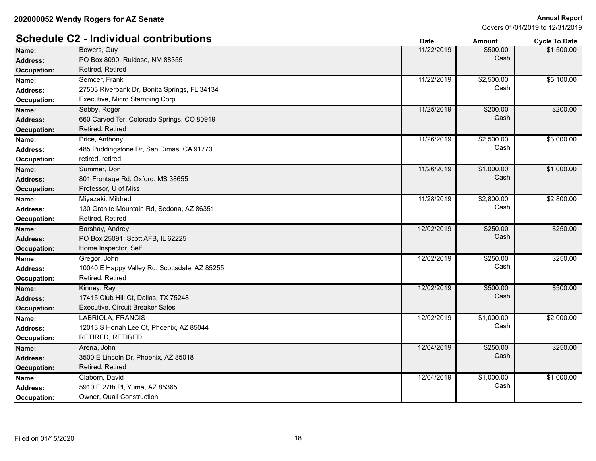|                 | <b>Schedule C2 - Individual contributions</b> | <b>Date</b> | <b>Amount</b> | <b>Cycle To Date</b> |
|-----------------|-----------------------------------------------|-------------|---------------|----------------------|
| Name:           | Bowers, Guy                                   | 11/22/2019  | \$500.00      | \$1,500.00           |
| <b>Address:</b> | PO Box 8090, Ruidoso, NM 88355                |             | Cash          |                      |
| Occupation:     | Retired, Retired                              |             |               |                      |
| Name:           | Semcer, Frank                                 | 11/22/2019  | \$2,500.00    | \$5,100.00           |
| <b>Address:</b> | 27503 Riverbank Dr, Bonita Springs, FL 34134  |             | Cash          |                      |
| Occupation:     | Executive, Micro Stamping Corp                |             |               |                      |
| Name:           | Sebby, Roger                                  | 11/25/2019  | \$200.00      | \$200.00             |
| <b>Address:</b> | 660 Carved Ter, Colorado Springs, CO 80919    |             | Cash          |                      |
| Occupation:     | Retired, Retired                              |             |               |                      |
| Name:           | Price, Anthony                                | 11/26/2019  | \$2,500.00    | \$3,000.00           |
| <b>Address:</b> | 485 Puddingstone Dr, San Dimas, CA 91773      |             | Cash          |                      |
| Occupation:     | retired, retired                              |             |               |                      |
| Name:           | Summer, Don                                   | 11/26/2019  | \$1,000.00    | \$1,000.00           |
| <b>Address:</b> | 801 Frontage Rd, Oxford, MS 38655             |             | Cash          |                      |
| Occupation:     | Professor, U of Miss                          |             |               |                      |
| Name:           | Miyazaki, Mildred                             | 11/28/2019  | \$2,800.00    | \$2,800.00           |
| <b>Address:</b> | 130 Granite Mountain Rd, Sedona, AZ 86351     |             | Cash          |                      |
| Occupation:     | Retired, Retired                              |             |               |                      |
| Name:           | Barshay, Andrey                               | 12/02/2019  | \$250.00      | \$250.00             |
| <b>Address:</b> | PO Box 25091, Scott AFB, IL 62225             |             | Cash          |                      |
| Occupation:     | Home Inspector, Self                          |             |               |                      |
| Name:           | Gregor, John                                  | 12/02/2019  | \$250.00      | \$250.00             |
| <b>Address:</b> | 10040 E Happy Valley Rd, Scottsdale, AZ 85255 |             | Cash          |                      |
| Occupation:     | Retired, Retired                              |             |               |                      |
| Name:           | Kinney, Ray                                   | 12/02/2019  | \$500.00      | \$500.00             |
| <b>Address:</b> | 17415 Club Hill Ct, Dallas, TX 75248          |             | Cash          |                      |
| Occupation:     | Executive, Circuit Breaker Sales              |             |               |                      |
| Name:           | <b>LABRIOLA, FRANCIS</b>                      | 12/02/2019  | \$1,000.00    | \$2,000.00           |
| <b>Address:</b> | 12013 S Honah Lee Ct, Phoenix, AZ 85044       |             | Cash          |                      |
| Occupation:     | RETIRED, RETIRED                              |             |               |                      |
| Name:           | Arena, John                                   | 12/04/2019  | \$250.00      | \$250.00             |
| <b>Address:</b> | 3500 E Lincoln Dr, Phoenix, AZ 85018          |             | Cash          |                      |
| Occupation:     | Retired, Retired                              |             |               |                      |
| Name:           | Claborn, David                                | 12/04/2019  | \$1,000.00    | \$1,000.00           |
| <b>Address:</b> | 5910 E 27th PI, Yuma, AZ 85365                |             | Cash          |                      |
| Occupation:     | Owner, Quail Construction                     |             |               |                      |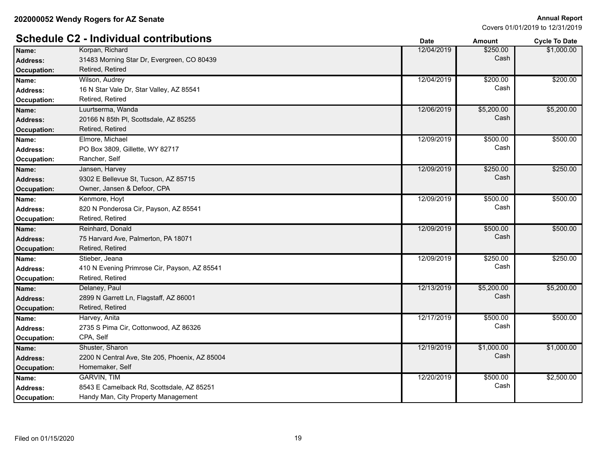# **Schedule C2 - Individual contributions Date Amount Cycle To Date**

|                 | Schedule C2 - Individual contributions         | <b>Date</b> | <b>Amount</b> | <b>Cycle To Date</b> |
|-----------------|------------------------------------------------|-------------|---------------|----------------------|
| Name:           | Korpan, Richard                                | 12/04/2019  | \$250.00      | \$1,000.00           |
| <b>Address:</b> | 31483 Morning Star Dr, Evergreen, CO 80439     |             | Cash          |                      |
| Occupation:     | Retired, Retired                               |             |               |                      |
| Name:           | Wilson, Audrey                                 | 12/04/2019  | \$200.00      | \$200.00             |
| <b>Address:</b> | 16 N Star Vale Dr, Star Valley, AZ 85541       |             | Cash          |                      |
| Occupation:     | Retired, Retired                               |             |               |                      |
| Name:           | Luurtserma, Wanda                              | 12/06/2019  | \$5,200.00    | \$5,200.00           |
| <b>Address:</b> | 20166 N 85th PI, Scottsdale, AZ 85255          |             | Cash          |                      |
| Occupation:     | Retired, Retired                               |             |               |                      |
| Name:           | Elmore, Michael                                | 12/09/2019  | \$500.00      | \$500.00             |
| <b>Address:</b> | PO Box 3809, Gillette, WY 82717                |             | Cash          |                      |
| Occupation:     | Rancher, Self                                  |             |               |                      |
| Name:           | Jansen, Harvey                                 | 12/09/2019  | \$250.00      | \$250.00             |
| Address:        | 9302 E Bellevue St, Tucson, AZ 85715           |             | Cash          |                      |
| Occupation:     | Owner, Jansen & Defoor, CPA                    |             |               |                      |
| Name:           | Kenmore, Hoyt                                  | 12/09/2019  | \$500.00      | \$500.00             |
| Address:        | 820 N Ponderosa Cir, Payson, AZ 85541          |             | Cash          |                      |
| Occupation:     | Retired, Retired                               |             |               |                      |
| Name:           | Reinhard, Donald                               | 12/09/2019  | \$500.00      | \$500.00             |
| Address:        | 75 Harvard Ave, Palmerton, PA 18071            |             | Cash          |                      |
| Occupation:     | Retired, Retired                               |             |               |                      |
| Name:           | Stieber, Jeana                                 | 12/09/2019  | \$250.00      | \$250.00             |
| Address:        | 410 N Evening Primrose Cir, Payson, AZ 85541   |             | Cash          |                      |
| Occupation:     | Retired, Retired                               |             |               |                      |
| Name:           | Delaney, Paul                                  | 12/13/2019  | \$5,200.00    | \$5,200.00           |
| <b>Address:</b> | 2899 N Garrett Ln, Flagstaff, AZ 86001         |             | Cash          |                      |
| Occupation:     | Retired, Retired                               |             |               |                      |
| Name:           | Harvey, Anita                                  | 12/17/2019  | \$500.00      | \$500.00             |
| <b>Address:</b> | 2735 S Pima Cir, Cottonwood, AZ 86326          |             | Cash          |                      |
| Occupation:     | CPA, Self                                      |             |               |                      |
| Name:           | Shuster, Sharon                                | 12/19/2019  | \$1,000.00    | \$1,000.00           |
| <b>Address:</b> | 2200 N Central Ave, Ste 205, Phoenix, AZ 85004 |             | Cash          |                      |
| Occupation:     | Homemaker, Self                                |             |               |                      |
| Name:           | <b>GARVIN, TIM</b>                             | 12/20/2019  | \$500.00      | \$2,500.00           |
| <b>Address:</b> | 8543 E Camelback Rd, Scottsdale, AZ 85251      |             | Cash          |                      |
| Occupation:     | Handy Man, City Property Management            |             |               |                      |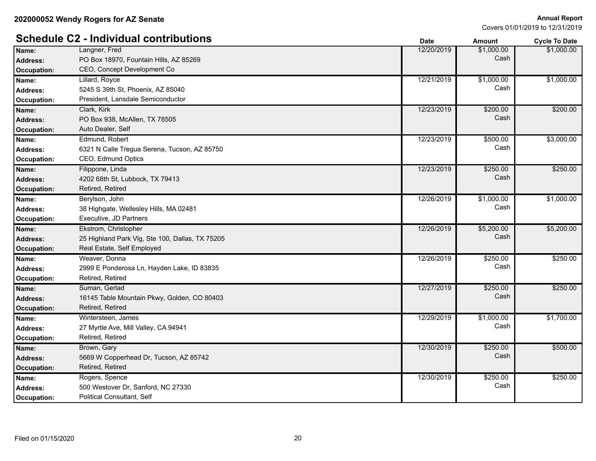#### **Schedule C2 - Individual contributions Date Date** *Date* **<b>Amount Cycle To Date** Langner, Fred PO Box 18970, Fountain Hills, AZ 85269 **Address:** Cash **Name:** 12/20/2019 \$1,000.00 \$1,000.00 **Occupation:** CEO, Concept Development Co Lillard, Royce 5245 S 39th St, Phoenix, AZ 85040 **Address:** Cash **Name:** 12/21/2019 \$1,000.00 \$1,000.00 **Occupation:** President, Lansdale Semiconductor Clark, Kirk PO Box 938, McAllen, TX 78505 **Address:** Cash **Name:** 12/23/2019 \$200.00 \$200.00 **Occupation:** Auto Dealer, Self Edmund, Robert 6321 N Calle Tregua Serena, Tucson, AZ 85750 **Address:** Cash **Name:** 12/23/2019 **6 Edmund, Robert 12/23/2019 6 Edmund, Robert 12012** 12/23 **1201** 6 Edmund, Robert 12023 **1203** \$3,000.00 **Occupation:** CEO, Edmund Optics Filippone, Linda 4202 68th St, Lubbock, TX 79413 **Address:** Cash **Name:** 12/23/2019 \$250.00 \$250.00 **Occupation:** Retired, Retired Berylson, John 38 Highgate, Wellesley Hills, MA 02481 **Address:** Cash **Name:** 12/26/2019 \$1,000.00 \$1,000.00 **Occupation:** Executive, JD Partners Ekstrom, Christopher **Name:** 12/26/2019 \$5,200.00 25 Highland Park Vlg, Ste 100, Dallas, TX 75205 **Address:** Cash \$5,200.00 **Occupation:** Real Estate, Self Employed Weaver, Donna 2999 E Ponderosa Ln, Hayden Lake, ID 83835 **Address:** Cash **Name:** 12/26/2019 \$250.00 \$250.00 **Occupation:** Retired, Retired Suman, Gerlad 16145 Table Mountain Pkwy, Golden, CO 80403 **Address:** Cash **Name:** Suman, Gerlad \$250.00 \$250.00 \$250.00 \$250.00 \$250.00 \$250.00 \$250.00 \$250.00 \$250.00 \$250.00 \$250.00 \$250 \$250.00 **Occupation:** Retired, Retired Wintersteen, James 27 Myrtle Ave, Mill Valley, CA 94941 **Address:** Cash **Name:** 12/29/2019 Wintersteen, James **12000.00 12/2019 12/29/2019 12/29/2019** \$1,000.00 \$1,700.00 **Occupation:** Retired, Retired Brown, Gary 5669 W Copperhead Dr, Tucson, AZ 85742 **Address:** Cash **Name:** 12/30/2019 \$250.00 \$500.00 **Occupation:** Retired, Retired Rogers, Spence Address: 500 Westover Dr, Sanford, NC 27330 **Address:** Cash **Name:** Rogers, Spence **12/30/2019** \$250.00 \$250.00 **Occupation:** Political Consultant, Self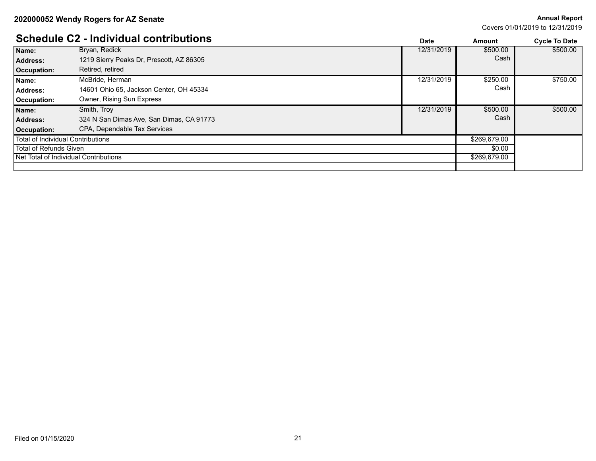Covers 01/01/2019 to 12/31/2019

# **Schedule C2 - Individual contributions**

|                                       | <u> JUIJEUUJE UZ - IIIUIVIUUAI UUIILIIJUUUJIS</u> | Date       | Amount       | <b>Cycle To Date</b> |
|---------------------------------------|---------------------------------------------------|------------|--------------|----------------------|
| Name:                                 | Bryan, Redick                                     | 12/31/2019 | \$500.00     | \$500.00             |
| <b>Address:</b>                       | 1219 Sierry Peaks Dr. Prescott, AZ 86305          |            | Cash         |                      |
| <b>Occupation:</b>                    | Retired, retired                                  |            |              |                      |
| Name:                                 | McBride, Herman                                   | 12/31/2019 | \$250.00     | \$750.00             |
| Address:                              | 14601 Ohio 65, Jackson Center, OH 45334           |            | Cash         |                      |
| Occupation:                           | Owner, Rising Sun Express                         |            |              |                      |
| Name:                                 | Smith, Troy                                       | 12/31/2019 | \$500.00     | \$500.00             |
| Address:                              | 324 N San Dimas Ave, San Dimas, CA 91773          |            | Cash         |                      |
| Occupation:                           | CPA, Dependable Tax Services                      |            |              |                      |
| Total of Individual Contributions     |                                                   |            | \$269,679.00 |                      |
| Total of Refunds Given                |                                                   |            | \$0.00       |                      |
| Net Total of Individual Contributions |                                                   |            | \$269,679.00 |                      |
|                                       |                                                   |            |              |                      |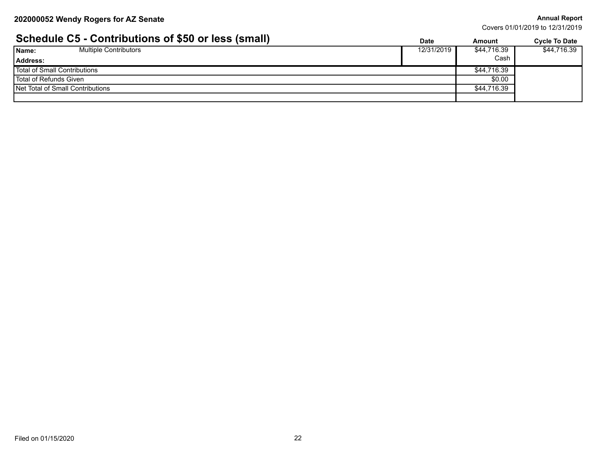Covers 01/01/2019 to 12/31/2019

# **Schedule C5 - Contributions of \$50 or less (small)**  $D_{\text{ate}}$  and  $D_{\text{ate}}$  amount  $D_{\text{ate}}$   $D_{\text{ate}}$

|                                       | Dale       | AIIIvuin    | <b>OVLIE TO DATE</b> |
|---------------------------------------|------------|-------------|----------------------|
| <b>Multiple Contributors</b><br>Name: | 12/31/2019 | \$44,716.39 | \$44,716.39          |
| Address:                              |            | Cash        |                      |
| <b>Total of Small Contributions</b>   |            | \$44,716.39 |                      |
| Total of Refunds Given                |            | \$0.00      |                      |
| Net Total of Small Contributions      |            | \$44,716.39 |                      |
|                                       |            |             |                      |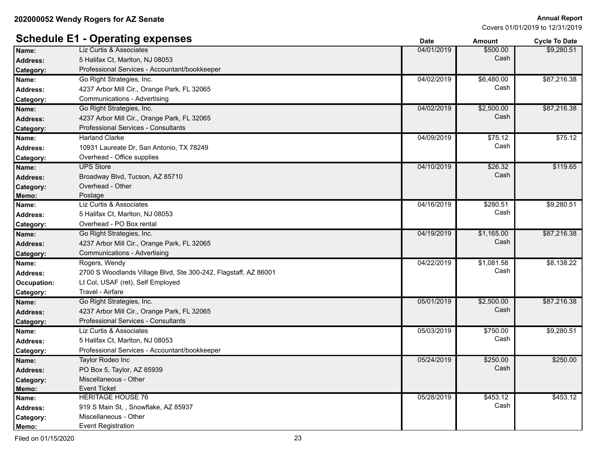|                  | <b>Schedule E1 - Operating expenses</b>                         | <b>Date</b> | Amount     | <b>Cycle To Date</b> |
|------------------|-----------------------------------------------------------------|-------------|------------|----------------------|
| Name:            | Liz Curtis & Associates                                         | 04/01/2019  | \$500.00   | \$9,280.51           |
| <b>Address:</b>  | 5 Halifax Ct, Marlton, NJ 08053                                 |             | Cash       |                      |
| <b>Category:</b> | Professional Services - Accountant/bookkeeper                   |             |            |                      |
| Name:            | Go Right Strategies, Inc.                                       | 04/02/2019  | \$6,480.00 | \$87,216.38          |
| <b>Address:</b>  | 4237 Arbor Mill Cir., Orange Park, FL 32065                     |             | Cash       |                      |
| <b>Category:</b> | Communications - Advertising                                    |             |            |                      |
| Name:            | Go Right Strategies, Inc.                                       | 04/02/2019  | \$2,500.00 | \$87,216.38          |
| <b>Address:</b>  | 4237 Arbor Mill Cir., Orange Park, FL 32065                     |             | Cash       |                      |
| <b>Category:</b> | Professional Services - Consultants                             |             |            |                      |
| Name:            | <b>Harland Clarke</b>                                           | 04/09/2019  | \$75.12    | \$75.12              |
| <b>Address:</b>  | 10931 Laureate Dr, San Antonio, TX 78249                        |             | Cash       |                      |
| <b>Category:</b> | Overhead - Office supplies                                      |             |            |                      |
| Name:            | <b>UPS Store</b>                                                | 04/10/2019  | \$26.32    | \$119.65             |
| <b>Address:</b>  | Broadway Blvd, Tucson, AZ 85710                                 |             | Cash       |                      |
| Category:        | Overhead - Other                                                |             |            |                      |
| Memo:            | Postage                                                         |             |            |                      |
| Name:            | Liz Curtis & Associates                                         | 04/16/2019  | \$280.51   | \$9,280.51           |
| <b>Address:</b>  | 5 Halifax Ct, Marlton, NJ 08053                                 |             | Cash       |                      |
| <b>Category:</b> | Overhead - PO Box rental                                        |             |            |                      |
| Name:            | Go Right Strategies, Inc.                                       | 04/19/2019  | \$1,165.00 | \$87,216.38          |
| <b>Address:</b>  | 4237 Arbor Mill Cir., Orange Park, FL 32065                     |             | Cash       |                      |
| <b>Category:</b> | Communications - Advertising                                    |             |            |                      |
| Name:            | Rogers, Wendy                                                   | 04/22/2019  | \$1,081.58 | \$8,138.22           |
| <b>Address:</b>  | 2700 S Woodlands Village Blvd, Ste 300-242, Flagstaff, AZ 86001 |             | Cash       |                      |
| Occupation:      | Lt Col, USAF (ret), Self Employed                               |             |            |                      |
| Category:        | Travel - Airfare                                                |             |            |                      |
| Name:            | Go Right Strategies, Inc.                                       | 05/01/2019  | \$2,500.00 | \$87,216.38          |
| <b>Address:</b>  | 4237 Arbor Mill Cir., Orange Park, FL 32065                     |             | Cash       |                      |
| <b>Category:</b> | Professional Services - Consultants                             |             |            |                      |
| Name:            | Liz Curtis & Associates                                         | 05/03/2019  | \$750.00   | \$9,280.51           |
| <b>Address:</b>  | 5 Halifax Ct, Marlton, NJ 08053                                 |             | Cash       |                      |
| <b>Category:</b> | Professional Services - Accountant/bookkeeper                   |             |            |                      |
| Name:            | Taylor Rodeo Inc                                                | 05/24/2019  | \$250.00   | \$250.00             |
| <b>Address:</b>  | PO Box 5, Taylor, AZ 85939                                      |             | Cash       |                      |
| Category:        | Miscellaneous - Other                                           |             |            |                      |
| Memo:            | <b>Event Ticket</b>                                             |             |            |                      |
| Name:            | <b>HERITAGE HOUSE 76</b>                                        | 05/28/2019  | \$453.12   | \$453.12             |
| Address:         | 919 S Main St, , Snowflake, AZ 85937                            |             | Cash       |                      |
| Category:        | Miscellaneous - Other                                           |             |            |                      |
| Memo:            | <b>Event Registration</b>                                       |             |            |                      |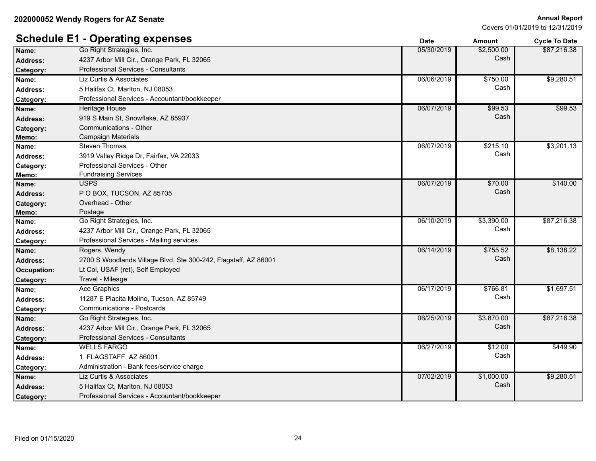|                  | <b>Schedule E1 - Operating expenses</b>                         | <b>Date</b> | <b>Amount</b> | <b>Cycle To Date</b> |
|------------------|-----------------------------------------------------------------|-------------|---------------|----------------------|
| Name:            | Go Right Strategies, Inc.                                       | 05/30/2019  | \$2,500.00    | \$87,216.38          |
| Address:         | 4237 Arbor Mill Cir., Orange Park, FL 32065                     |             | Cash          |                      |
| Category:        | Professional Services - Consultants                             |             |               |                      |
| Name:            | Liz Curtis & Associates                                         | 06/06/2019  | \$750.00      | \$9,280.51           |
| <b>Address:</b>  | 5 Halifax Ct, Marlton, NJ 08053                                 |             | Cash          |                      |
| Category:        | Professional Services - Accountant/bookkeeper                   |             |               |                      |
| Name:            | <b>Heritage House</b>                                           | 06/07/2019  | \$99.53       | \$99.53              |
| <b>Address:</b>  | 919 S Main St, Snowflake, AZ 85937                              |             | Cash          |                      |
| Category:        | Communications - Other                                          |             |               |                      |
| Memo:            | Campaign Materials                                              |             |               |                      |
| Name:            | <b>Steven Thomas</b>                                            | 06/07/2019  | \$215.10      | \$3,201.13           |
| <b>Address:</b>  | 3919 Valley Ridge Dr, Fairfax, VA 22033                         |             | Cash          |                      |
| Category:        | Professional Services - Other                                   |             |               |                      |
| Memo:            | <b>Fundraising Services</b>                                     |             |               |                      |
| Name:            | <b>USPS</b>                                                     | 06/07/2019  | \$70.00       | \$140.00             |
| <b>Address:</b>  | P O BOX, TUCSON, AZ 85705                                       |             | Cash          |                      |
| <b>Category:</b> | Overhead - Other                                                |             |               |                      |
| Memo:            | Postage                                                         |             |               |                      |
| Name:            | Go Right Strategies, Inc.                                       | 06/10/2019  | \$3,390.00    | \$87,216.38          |
| <b>Address:</b>  | 4237 Arbor Mill Cir., Orange Park, FL 32065                     |             | Cash          |                      |
| Category:        | Professional Services - Mailing services                        |             |               |                      |
| Name:            | Rogers, Wendy                                                   | 06/14/2019  | \$755.52      | \$8,138.22           |
| Address:         | 2700 S Woodlands Village Blvd, Ste 300-242, Flagstaff, AZ 86001 |             | Cash          |                      |
| Occupation:      | Lt Col, USAF (ret), Self Employed                               |             |               |                      |
| Category:        | Travel - Mileage                                                |             |               |                      |
| Name:            | <b>Ace Graphics</b>                                             | 06/17/2019  | \$766.81      | \$1,697.51           |
| <b>Address:</b>  | 11287 E Placita Molino, Tucson, AZ 85749                        |             | Cash          |                      |
| Category:        | Communications - Postcards                                      |             |               |                      |
| Name:            | Go Right Strategies, Inc.                                       | 06/25/2019  | \$3,870.00    | \$87,216.38          |
| Address:         | 4237 Arbor Mill Cir., Orange Park, FL 32065                     |             | Cash          |                      |
| Category:        | Professional Services - Consultants                             |             |               |                      |
| Name:            | <b>WELLS FARGO</b>                                              | 06/27/2019  | \$12.00       | \$449.90             |
| Address:         | 1, FLAGSTAFF, AZ 86001                                          |             | Cash          |                      |
| Category:        | Administration - Bank fees/service charge                       |             |               |                      |
| Name:            | Liz Curtis & Associates                                         | 07/02/2019  | \$1,000.00    | \$9,280.51           |
| <b>Address:</b>  | 5 Halifax Ct, Marlton, NJ 08053                                 |             | Cash          |                      |
| <b>Category:</b> | Professional Services - Accountant/bookkeeper                   |             |               |                      |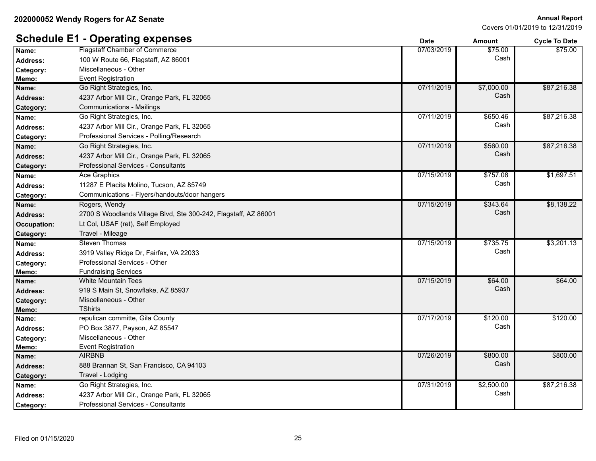#### **Schedule E1 - Operating expenses Date Date Date Amount Cycle To Date Cycle To Date Name:** Flagstaff Chamber of Commerce **Name:** 67/03/2019 **67/03/2019 575.00** 100 W Route 66, Flagstaff, AZ 86001 **Address:** Cash \$75.00 **Category:** Miscellaneous - Other **Memo:** Event Registration Go Right Strategies, Inc. **Name:** 07/11/2019 \$7,000.00 4237 Arbor Mill Cir., Orange Park, FL 32065 **Address:** Cash \$87,216.38 **Category:** Communications - Mailings Go Right Strategies, Inc. **Name:** 07/11/2019 \$650.46 4237 Arbor Mill Cir., Orange Park, FL 32065 **Address:** Cash \$87,216.38 **Category:** Professional Services - Polling/Research Go Right Strategies, Inc. **Name:** 07/11/2019 \$560.00 4237 Arbor Mill Cir., Orange Park, FL 32065 **Address:** Cash \$87,216.38 **Category:** Professional Services - Consultants Ace Graphics 11287 E Placita Molino, Tucson, AZ 85749 **Address:** Cash **Name:** Ace Graphics **2006 3757.08** \$1,697.51 **Category:** Communications - Flyers/handouts/door hangers Rogers, Wendy Address: 2700 S Woodlands Village Blvd, Ste 300-242, Flagstaff, AZ 86001 **Address:** Cash **Name:** 07/15/2019 \$343.64 \$8,138.22 **Occupation:** Lt Col, USAF (ret), Self Employed **Category:** Travel - Mileage Steven Thomas 3919 Valley Ridge Dr, Fairfax, VA 22033 **Address:** Cash **Name:** 07/15/2019 \$735.75 \$3,201.13 **Category:** Professional Services - Other **Memo:** Fundraising Services White Mountain Tees 919 S Main St, Snowflake, AZ 85937 **Address:** Cash **Name:** 07/15/2019 \$64.00 \$64.00 **Category:** Miscellaneous - Other **Memo:** TShirts **Name:** Committe, Gila County **Committe and County Construction Construction Construction Construction Construction** PO Box 3877, Payson, AZ 85547 **Address:** Cash \$120.00 **Category:** Miscellaneous - Other **Memo:** Event Registration AIRBNB Address: San Brannan St, San Francisco, CA 94103 **Address: Cash San Trancisco, CA 94103** Cash Cash Cash Cash Cash **Name:** 07/26/2019 \$800.00 \$800.00 **Category:** Travel - Lodging Go Right Strategies, Inc. **Name:** 07/31/2019 \$2,500.00 4237 Arbor Mill Cir., Orange Park, FL 32065 **Address:** Cash \$87,216.38 **Category:** Professional Services - Consultants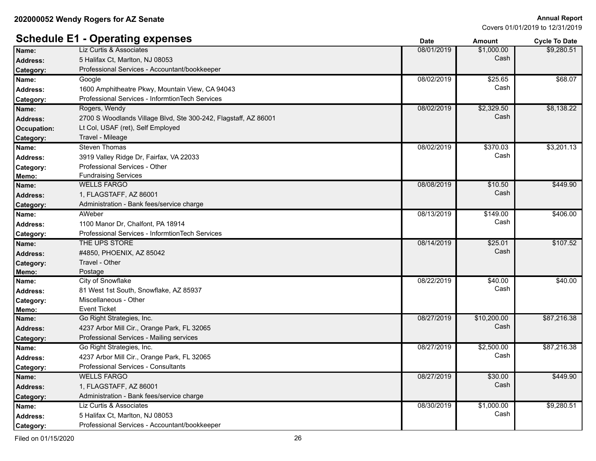|                  | <b>Schedule E1 - Operating expenses</b>                         | <b>Date</b> | <b>Amount</b> | <b>Cycle To Date</b> |
|------------------|-----------------------------------------------------------------|-------------|---------------|----------------------|
| Name:            | Liz Curtis & Associates                                         | 08/01/2019  | \$1,000.00    | \$9,280.51           |
| <b>Address:</b>  | 5 Halifax Ct, Marlton, NJ 08053                                 |             | Cash          |                      |
| Category:        | Professional Services - Accountant/bookkeeper                   |             |               |                      |
| Name:            | Google                                                          | 08/02/2019  | \$25.65       | \$68.07              |
| <b>Address:</b>  | 1600 Amphitheatre Pkwy, Mountain View, CA 94043                 |             | Cash          |                      |
| Category:        | Professional Services - Informtion Tech Services                |             |               |                      |
| Name:            | Rogers, Wendy                                                   | 08/02/2019  | \$2,329.50    | \$8,138.22           |
| <b>Address:</b>  | 2700 S Woodlands Village Blvd, Ste 300-242, Flagstaff, AZ 86001 |             | Cash          |                      |
| Occupation:      | Lt Col, USAF (ret), Self Employed                               |             |               |                      |
| Category:        | Travel - Mileage                                                |             |               |                      |
| Name:            | Steven Thomas                                                   | 08/02/2019  | \$370.03      | \$3,201.13           |
| <b>Address:</b>  | 3919 Valley Ridge Dr, Fairfax, VA 22033                         |             | Cash          |                      |
| Category:        | Professional Services - Other                                   |             |               |                      |
| Memo:            | <b>Fundraising Services</b>                                     |             |               |                      |
| Name:            | <b>WELLS FARGO</b>                                              | 08/08/2019  | \$10.50       | \$449.90             |
| <b>Address:</b>  | 1, FLAGSTAFF, AZ 86001                                          |             | Cash          |                      |
| Category:        | Administration - Bank fees/service charge                       |             |               |                      |
| Name:            | AWeber                                                          | 08/13/2019  | \$149.00      | \$406.00             |
| <b>Address:</b>  | 1100 Manor Dr, Chalfont, PA 18914                               |             | Cash          |                      |
| Category:        | Professional Services - Informtion Tech Services                |             |               |                      |
| Name:            | THE UPS STORE                                                   | 08/14/2019  | \$25.01       | \$107.52             |
| <b>Address:</b>  | #4850, PHOENIX, AZ 85042                                        |             | Cash          |                      |
| Category:        | Travel - Other                                                  |             |               |                      |
| Memo:            | Postage                                                         |             |               |                      |
| Name:            | City of Snowflake                                               | 08/22/2019  | \$40.00       | \$40.00              |
| <b>Address:</b>  | 81 West 1st South, Snowflake, AZ 85937                          |             | Cash          |                      |
| <b>Category:</b> | Miscellaneous - Other                                           |             |               |                      |
| Memo:            | <b>Event Ticket</b>                                             |             |               |                      |
| Name:            | Go Right Strategies, Inc.                                       | 08/27/2019  | \$10,200.00   | \$87,216.38          |
| <b>Address:</b>  | 4237 Arbor Mill Cir., Orange Park, FL 32065                     |             | Cash          |                      |
| Category:        | Professional Services - Mailing services                        |             |               |                      |
| Name:            | Go Right Strategies, Inc.                                       | 08/27/2019  | \$2,500.00    | \$87,216.38          |
| <b>Address:</b>  | 4237 Arbor Mill Cir., Orange Park, FL 32065                     |             | Cash          |                      |
| Category:        | Professional Services - Consultants                             |             |               |                      |
| Name:            | <b>WELLS FARGO</b>                                              | 08/27/2019  | \$30.00       | \$449.90             |
| <b>Address:</b>  | 1, FLAGSTAFF, AZ 86001                                          |             | Cash          |                      |
| Category:        | Administration - Bank fees/service charge                       |             |               |                      |
| Name:            | Liz Curtis & Associates                                         | 08/30/2019  | \$1,000.00    | \$9,280.51           |
| <b>Address:</b>  | 5 Halifax Ct, Marlton, NJ 08053                                 |             | Cash          |                      |
| Category:        | Professional Services - Accountant/bookkeeper                   |             |               |                      |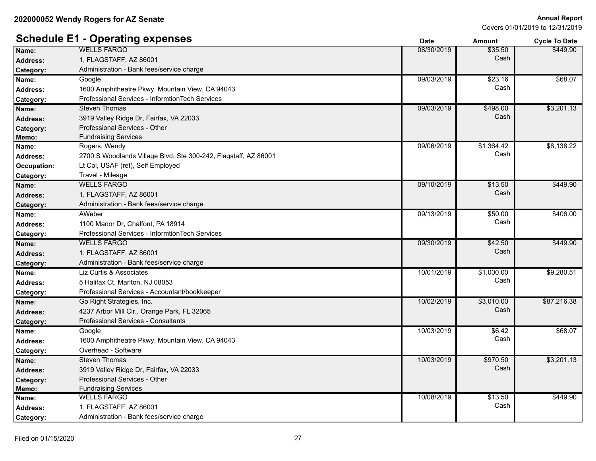|                  | <b>Schedule E1 - Operating expenses</b>                         | <b>Date</b> | <b>Amount</b> | <b>Cycle To Date</b> |
|------------------|-----------------------------------------------------------------|-------------|---------------|----------------------|
| Name:            | <b>WELLS FARGO</b>                                              | 08/30/2019  | \$35.50       | \$449.90             |
| <b>Address:</b>  | 1, FLAGSTAFF, AZ 86001                                          |             | Cash          |                      |
| Category:        | Administration - Bank fees/service charge                       |             |               |                      |
| Name:            | Google                                                          | 09/03/2019  | \$23.16       | \$68.07              |
| <b>Address:</b>  | 1600 Amphitheatre Pkwy, Mountain View, CA 94043                 |             | Cash          |                      |
| Category:        | Professional Services - InformtionTech Services                 |             |               |                      |
| Name:            | <b>Steven Thomas</b>                                            | 09/03/2019  | \$498.00      | \$3,201.13           |
| <b>Address:</b>  | 3919 Valley Ridge Dr, Fairfax, VA 22033                         |             | Cash          |                      |
| Category:        | Professional Services - Other                                   |             |               |                      |
| Memo:            | <b>Fundraising Services</b>                                     |             |               |                      |
| Name:            | Rogers, Wendy                                                   | 09/06/2019  | \$1,364.42    | \$8,138.22           |
| <b>Address:</b>  | 2700 S Woodlands Village Blvd, Ste 300-242, Flagstaff, AZ 86001 |             | Cash          |                      |
| Occupation:      | Lt Col, USAF (ret), Self Employed                               |             |               |                      |
| Category:        | Travel - Mileage                                                |             |               |                      |
| Name:            | <b>WELLS FARGO</b>                                              | 09/10/2019  | \$13.50       | \$449.90             |
| <b>Address:</b>  | 1, FLAGSTAFF, AZ 86001                                          |             | Cash          |                      |
| Category:        | Administration - Bank fees/service charge                       |             |               |                      |
| Name:            | AWeber                                                          | 09/13/2019  | \$50.00       | \$406.00             |
| <b>Address:</b>  | 1100 Manor Dr. Chalfont, PA 18914                               |             | Cash          |                      |
| Category:        | Professional Services - Informtion Tech Services                |             |               |                      |
| Name:            | <b>WELLS FARGO</b>                                              | 09/30/2019  | \$42.50       | \$449.90             |
| <b>Address:</b>  | 1, FLAGSTAFF, AZ 86001                                          |             | Cash          |                      |
| Category:        | Administration - Bank fees/service charge                       |             |               |                      |
| Name:            | Liz Curtis & Associates                                         | 10/01/2019  | \$1,000.00    | \$9,280.51           |
| <b>Address:</b>  | 5 Halifax Ct, Marlton, NJ 08053                                 |             | Cash          |                      |
| Category:        | Professional Services - Accountant/bookkeeper                   |             |               |                      |
| Name:            | Go Right Strategies, Inc.                                       | 10/02/2019  | \$3,010.00    | \$87,216.38          |
| <b>Address:</b>  | 4237 Arbor Mill Cir., Orange Park, FL 32065                     |             | Cash          |                      |
| Category:        | Professional Services - Consultants                             |             |               |                      |
| Name:            | Google                                                          | 10/03/2019  | \$6.42        | \$68.07              |
| Address:         | 1600 Amphitheatre Pkwy, Mountain View, CA 94043                 |             | Cash          |                      |
| Category:        | Overhead - Software                                             |             |               |                      |
| Name:            | <b>Steven Thomas</b>                                            | 10/03/2019  | \$970.50      | \$3,201.13           |
| <b>Address:</b>  | 3919 Valley Ridge Dr, Fairfax, VA 22033                         |             | Cash          |                      |
| Category:        | Professional Services - Other                                   |             |               |                      |
| Memo:            | <b>Fundraising Services</b>                                     |             |               |                      |
| Name:            | <b>WELLS FARGO</b>                                              | 10/08/2019  | \$13.50       | \$449.90             |
| <b>Address:</b>  | 1, FLAGSTAFF, AZ 86001                                          |             | Cash          |                      |
| <b>Category:</b> | Administration - Bank fees/service charge                       |             |               |                      |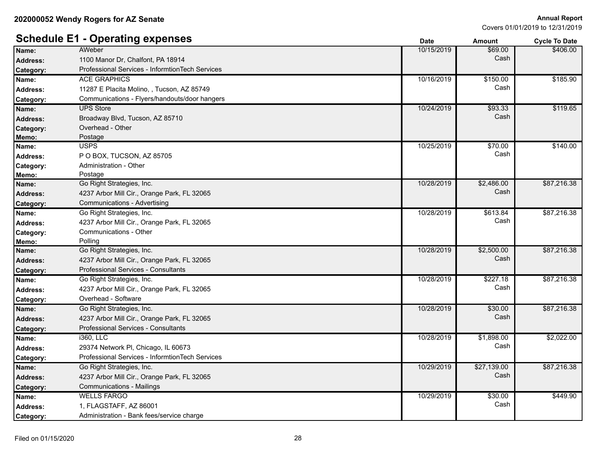|                  | <b>Schedule E1 - Operating expenses</b>         | <b>Date</b> | <b>Amount</b> | <b>Cycle To Date</b> |
|------------------|-------------------------------------------------|-------------|---------------|----------------------|
| Name:            | AWeber                                          | 10/15/2019  | \$69.00       | \$406.00             |
| <b>Address:</b>  | 1100 Manor Dr. Chalfont, PA 18914               |             | Cash          |                      |
| Category:        | Professional Services - InformtionTech Services |             |               |                      |
| Name:            | <b>ACE GRAPHICS</b>                             | 10/16/2019  | \$150.00      | \$185.90             |
| <b>Address:</b>  | 11287 E Placita Molino, , Tucson, AZ 85749      |             | Cash          |                      |
| Category:        | Communications - Flyers/handouts/door hangers   |             |               |                      |
| Name:            | <b>UPS Store</b>                                | 10/24/2019  | \$93.33       | \$119.65             |
| <b>Address:</b>  | Broadway Blvd, Tucson, AZ 85710                 |             | Cash          |                      |
| Category:        | Overhead - Other                                |             |               |                      |
| Memo:            | Postage                                         |             |               |                      |
| Name:            | <b>USPS</b>                                     | 10/25/2019  | \$70.00       | \$140.00             |
| <b>Address:</b>  | P O BOX, TUCSON, AZ 85705                       |             | Cash          |                      |
| Category:        | Administration - Other                          |             |               |                      |
| Memo:            | Postage                                         |             |               |                      |
| Name:            | Go Right Strategies, Inc.                       | 10/28/2019  | \$2,486.00    | \$87,216.38          |
| <b>Address:</b>  | 4237 Arbor Mill Cir., Orange Park, FL 32065     |             | Cash          |                      |
| Category:        | Communications - Advertising                    |             |               |                      |
| Name:            | Go Right Strategies, Inc.                       | 10/28/2019  | \$613.84      | \$87,216.38          |
| <b>Address:</b>  | 4237 Arbor Mill Cir., Orange Park, FL 32065     |             | Cash          |                      |
| Category:        | Communications - Other                          |             |               |                      |
| Memo:            | Polling                                         |             |               |                      |
| Name:            | Go Right Strategies, Inc.                       | 10/28/2019  | \$2,500.00    | \$87,216.38          |
| <b>Address:</b>  | 4237 Arbor Mill Cir., Orange Park, FL 32065     |             | Cash          |                      |
| Category:        | <b>Professional Services - Consultants</b>      |             |               |                      |
| Name:            | Go Right Strategies, Inc.                       | 10/28/2019  | \$227.18      | \$87,216.38          |
| Address:         | 4237 Arbor Mill Cir., Orange Park, FL 32065     |             | Cash          |                      |
| Category:        | Overhead - Software                             |             |               |                      |
| Name:            | Go Right Strategies, Inc.                       | 10/28/2019  | \$30.00       | \$87,216.38          |
| <b>Address:</b>  | 4237 Arbor Mill Cir., Orange Park, FL 32065     |             | Cash          |                      |
| Category:        | Professional Services - Consultants             |             |               |                      |
| Name:            | i360, LLC                                       | 10/28/2019  | \$1,898.00    | \$2,022.00           |
| <b>Address:</b>  | 29374 Network PI, Chicago, IL 60673             |             | Cash          |                      |
| Category:        | Professional Services - InformtionTech Services |             |               |                      |
| Name:            | Go Right Strategies, Inc.                       | 10/29/2019  | \$27,139.00   | \$87,216.38          |
| <b>Address:</b>  | 4237 Arbor Mill Cir., Orange Park, FL 32065     |             | Cash          |                      |
| <b>Category:</b> | Communications - Mailings                       |             |               |                      |
| Name:            | <b>WELLS FARGO</b>                              | 10/29/2019  | \$30.00       | \$449.90             |
| <b>Address:</b>  | 1, FLAGSTAFF, AZ 86001                          |             | Cash          |                      |
| <b>Category:</b> | Administration - Bank fees/service charge       |             |               |                      |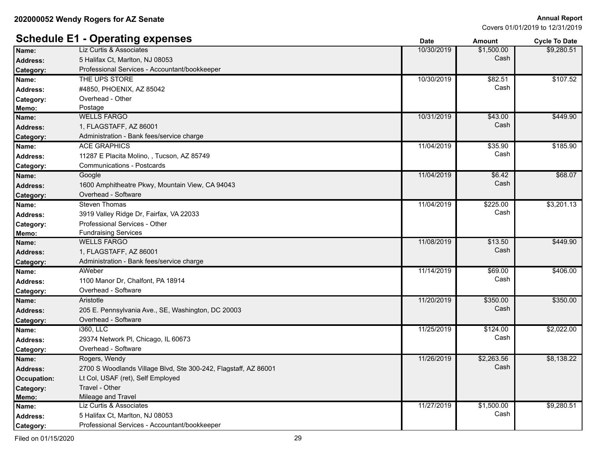#### **Schedule E1 - Operating expenses Date Date Date Amount Cycle To Date Cycle To Date** Liz Curtis & Associates **Name:** 10/30/2019 \$1,500.00 5 Halifax Ct, Marlton, NJ 08053 **Address:** Cash \$9,280.51 Category: Professional Services - Accountant/bookkeeper THE UPS STORE #4850, PHOENIX, AZ 85042 **Address:** Cash **Name:** THE UPS STORE \$82.51 \$107.52 **Category:** Overhead - Other **Memo:** Postage WELLS FARGO 1, FLAGSTAFF, AZ 86001 **Address:** Cash **Name:** 10/31/2019 \$43.00 \$449.90 **Category:** Administration - Bank fees/service charge ACE GRAPHICS 11287 E Placita Molino, , Tucson, AZ 85749 **Address:** Cash **Name:** 11/04/2019 \$35.90 \$185.90 **Category:** Communications - Postcards Google 1600 Amphitheatre Pkwy, Mountain View, CA 94043 **Address:** Cash **Name:** 11/04/2019 \$6.42 \$68.07 **Category:** Overhead - Software Steven Thomas 3919 Valley Ridge Dr, Fairfax, VA 22033 **Address:** Cash **Name:** 11/04/2019 Steven Thomas **120.00 Steven Thomas 11/04/2019 Steven Mannesotic Control of the Steven Mannesotic Control of the Steven Mannesotic Control of the Steven Mannesotic Control of the Steven Mannesotic Contro** \$3,201.13 **Category:** Professional Services - Other **Memo:** Fundraising Services WELLS FARGO 1, FLAGSTAFF, AZ 86001 **Address:** Cash **Name:** 11/08/2019 \$13.50 \$449.90 Category: Administration - Bank fees/service charge AWeber 1100 Manor Dr, Chalfont, PA 18914 **Address:** Cash **Name:** AWeber \$69.00 \$406.00 **Category:** Overhead - Software **Aristotle** 205 E. Pennsylvania Ave., SE, Washington, DC 20003 **Address:** Cash **Name:** 11/20/2019 \$350.00 \$350.00 **Category:** Overhead - Software i360, LLC 29374 Network Pl, Chicago, IL 60673 **Address:** Cash **Name:** 11/25/2019 360, LLC \$124.00 \$2,022.00 **Category:** Overhead - Software Rogers, Wendy Address: 2700 S Woodlands Village Blvd, Ste 300-242, Flagstaff, AZ 86001 **Address:** Cash **Name:** 11/26/2019 \$2,263.56 \$8,138.22 **Occupation:** Lt Col, USAF (ret), Self Employed Category: Travel - Other **Memo:** Mileage and Travel Liz Curtis & Associates **Name:** 11/27/2019 \$1,500.00 5 Halifax Ct, Marlton, NJ 08053 **Address:** Cash \$9,280.51 **Category:** Professional Services - Accountant/bookkeeper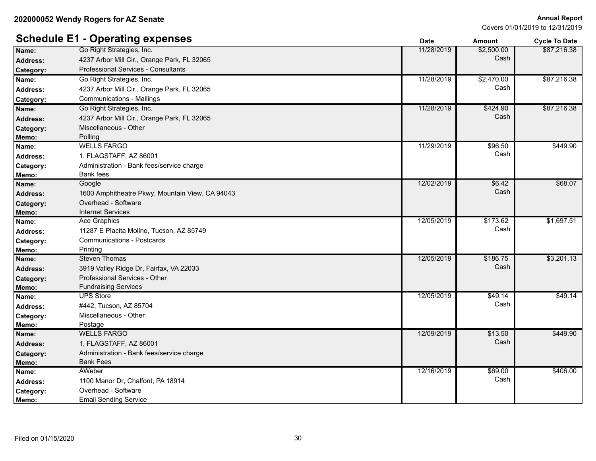|                 | <b>Schedule E1 - Operating expenses</b>         | <b>Date</b> | <b>Amount</b>           | <b>Cycle To Date</b> |
|-----------------|-------------------------------------------------|-------------|-------------------------|----------------------|
| Name:           | Go Right Strategies, Inc.                       | 11/28/2019  | \$2,500.00              | \$87,216.38          |
| <b>Address:</b> | 4237 Arbor Mill Cir., Orange Park, FL 32065     |             | Cash                    |                      |
| Category:       | Professional Services - Consultants             |             |                         |                      |
| Name:           | Go Right Strategies, Inc.                       | 11/28/2019  | \$2,470.00              | \$87,216.38          |
| <b>Address:</b> | 4237 Arbor Mill Cir., Orange Park, FL 32065     |             | Cash                    |                      |
| Category:       | Communications - Mailings                       |             |                         |                      |
| Name:           | Go Right Strategies, Inc.                       | 11/28/2019  | \$424.90                | \$87,216.38          |
| <b>Address:</b> | 4237 Arbor Mill Cir., Orange Park, FL 32065     |             | Cash                    |                      |
| Category:       | Miscellaneous - Other                           |             |                         |                      |
| Memo:           | Polling                                         |             |                         |                      |
| Name:           | <b>WELLS FARGO</b>                              | 11/29/2019  | \$96.50                 | \$449.90             |
| <b>Address:</b> | 1, FLAGSTAFF, AZ 86001                          |             | Cash                    |                      |
| Category:       | Administration - Bank fees/service charge       |             |                         |                      |
| Memo:           | Bank fees                                       |             |                         |                      |
| Name:           | Google                                          | 12/02/2019  | \$6.42<br>Cash          | \$68.07              |
| <b>Address:</b> | 1600 Amphitheatre Pkwy, Mountain View, CA 94043 |             |                         |                      |
| Category:       | Overhead - Software                             |             |                         |                      |
| Memo:           | <b>Internet Services</b>                        |             |                         |                      |
| Name:           | Ace Graphics                                    | 12/05/2019  | \$173.62                | \$1,697.51           |
| <b>Address:</b> | 11287 E Placita Molino, Tucson, AZ 85749        |             | Cash                    |                      |
| Category:       | <b>Communications - Postcards</b>               |             |                         |                      |
| Memo:           | Printing                                        |             |                         |                      |
| Name:           | <b>Steven Thomas</b>                            | 12/05/2019  | \$186.75                | \$3,201.13           |
| <b>Address:</b> | 3919 Valley Ridge Dr, Fairfax, VA 22033         |             | Cash                    |                      |
| Category:       | Professional Services - Other                   |             |                         |                      |
| Memo:           | <b>Fundraising Services</b>                     |             |                         |                      |
| Name:           | <b>UPS Store</b>                                | 12/05/2019  | $\sqrt{$49.14}$<br>Cash | \$49.14              |
| <b>Address:</b> | #442, Tucson, AZ 85704                          |             |                         |                      |
| Category:       | Miscellaneous - Other                           |             |                         |                      |
| Memo:           | Postage                                         |             |                         |                      |
| Name:           | <b>WELLS FARGO</b>                              | 12/09/2019  | \$13.50                 | \$449.90             |
| <b>Address:</b> | 1, FLAGSTAFF, AZ 86001                          |             | Cash                    |                      |
| Category:       | Administration - Bank fees/service charge       |             |                         |                      |
| Memo:           | <b>Bank Fees</b>                                |             |                         |                      |
| Name:           | AWeber                                          | 12/16/2019  | \$69.00                 | \$406.00             |
| <b>Address:</b> | 1100 Manor Dr, Chalfont, PA 18914               |             | Cash                    |                      |
| Category:       | Overhead - Software                             |             |                         |                      |
| Memo:           | <b>Email Sending Service</b>                    |             |                         |                      |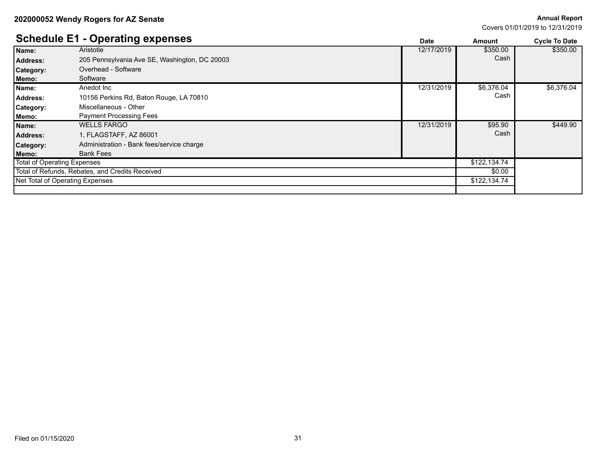Covers 01/01/2019 to 12/31/2019

# **Schedule E1 - Operating expenses**

|                                                 | Scributie LT - Operating experises            | <b>Date</b> | Amount       | <b>Cycle To Date</b> |
|-------------------------------------------------|-----------------------------------------------|-------------|--------------|----------------------|
| Name:                                           | Aristotle                                     | 12/17/2019  | \$350.00     | \$350.00             |
| <b>Address:</b>                                 | 205 Pennsylvania Ave SE, Washington, DC 20003 |             | Cash         |                      |
| <b>Category:</b>                                | Overhead - Software                           |             |              |                      |
| Memo:                                           | Software                                      |             |              |                      |
| Name:                                           | Anedot Inc                                    | 12/31/2019  | \$6,376.04   | \$6,376.04           |
| Address:                                        | 10156 Perkins Rd, Baton Rouge, LA 70810       |             | Cash         |                      |
| Category:                                       | Miscellaneous - Other                         |             |              |                      |
| Memo:                                           | <b>Payment Processing Fees</b>                |             |              |                      |
| Name:                                           | <b>WELLS FARGO</b>                            | 12/31/2019  | \$95.90      | \$449.90             |
| <b>Address:</b>                                 | 1, FLAGSTAFF, AZ 86001                        |             | Cash         |                      |
| <b>Category:</b>                                | Administration - Bank fees/service charge     |             |              |                      |
| Memo:                                           | <b>Bank Fees</b>                              |             |              |                      |
| <b>Total of Operating Expenses</b>              |                                               |             | \$122,134.74 |                      |
| Total of Refunds, Rebates, and Credits Received |                                               | \$0.00      |              |                      |
| Net Total of Operating Expenses                 |                                               |             | \$122,134.74 |                      |
|                                                 |                                               |             |              |                      |